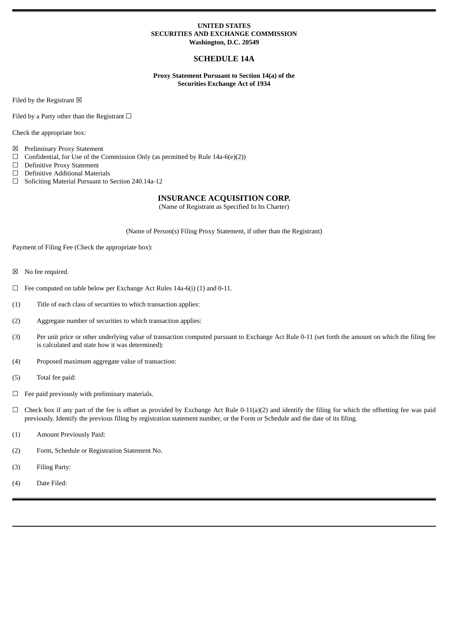## **UNITED STATES SECURITIES AND EXCHANGE COMMISSION Washington, D.C. 20549**

# **SCHEDULE 14A**

**Proxy Statement Pursuant to Section 14(a) of the Securities Exchange Act of 1934**

Filed by the Registrant  $\boxtimes$ 

Filed by a Party other than the Registrant  $□$ 

Check the appropriate box:

- ☒ Preliminary Proxy Statement
- $\Box$  Confidential, for Use of the Commission Only (as permitted by Rule 14a-6(e)(2))
- ☐ Definitive Proxy Statement
- ☐ Definitive Additional Materials
- ☐ Soliciting Material Pursuant to Section 240.14a-12

# **INSURANCE ACQUISITION CORP.**

(Name of Registrant as Specified In Its Charter)

(Name of Person(s) Filing Proxy Statement, if other than the Registrant)

Payment of Filing Fee (Check the appropriate box):

- ☒ No fee required.
- $\Box$  Fee computed on table below per Exchange Act Rules 14a-6(i) (1) and 0-11.
- (1) Title of each class of securities to which transaction applies:
- (2) Aggregate number of securities to which transaction applies:
- (3) Per unit price or other underlying value of transaction computed pursuant to Exchange Act Rule 0-11 (set forth the amount on which the filing fee is calculated and state how it was determined):
- (4) Proposed maximum aggregate value of transaction:
- (5) Total fee paid:
- $\Box$  Fee paid previously with preliminary materials.
- $\Box$  Check box if any part of the fee is offset as provided by Exchange Act Rule 0-11(a)(2) and identify the filing for which the offsetting fee was paid previously. Identify the previous filing by registration statement number, or the Form or Schedule and the date of its filing.
- (1) Amount Previously Paid:
- (2) Form, Schedule or Registration Statement No.
- (3) Filing Party:
- (4) Date Filed: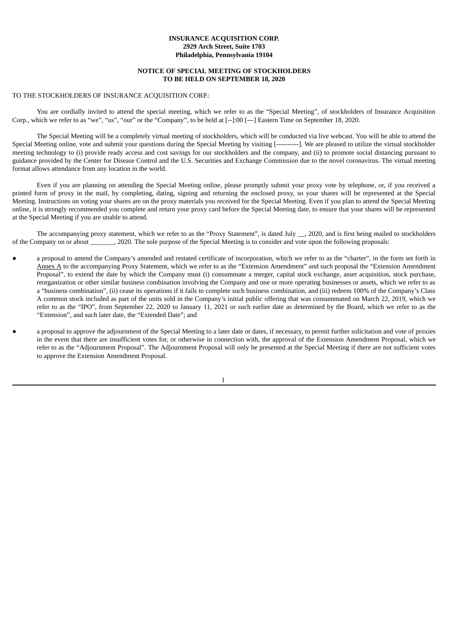## **INSURANCE ACQUISITION CORP. 2929 Arch Street, Suite 1703 Philadelphia, Pennsylvania 19104**

## **NOTICE OF SPECIAL MEETING OF STOCKHOLDERS TO BE HELD ON SEPTEMBER 18, 2020**

## TO THE STOCKHOLDERS OF INSURANCE ACQUISITION CORP.:

You are cordially invited to attend the special meeting, which we refer to as the "Special Meeting", of stockholders of Insurance Acquisition Corp., which we refer to as "we", "us", "our" or the "Company", to be held at [--]:00 [---] Eastern Time on September 18, 2020.

The Special Meeting will be a completely virtual meeting of stockholders, which will be conducted via live webcast. You will be able to attend the Special Meeting online, vote and submit your questions during the Special Meeting by visiting [----------]. We are pleased to utilize the virtual stockholder meeting technology to (i) provide ready access and cost savings for our stockholders and the company, and (ii) to promote social distancing pursuant to guidance provided by the Center for Disease Control and the U.S. Securities and Exchange Commission due to the novel coronavirus. The virtual meeting format allows attendance from any location in the world.

Even if you are planning on attending the Special Meeting online, please promptly submit your proxy vote by telephone, or, if you received a printed form of proxy in the mail, by completing, dating, signing and returning the enclosed proxy, so your shares will be represented at the Special Meeting. Instructions on voting your shares are on the proxy materials you received for the Special Meeting. Even if you plan to attend the Special Meeting online, it is strongly recommended you complete and return your proxy card before the Special Meeting date, to ensure that your shares will be represented at the Special Meeting if you are unable to attend.

The accompanying proxy statement, which we refer to as the "Proxy Statement", is dated July \_\_, 2020, and is first being mailed to stockholders of the Company on or about \_\_\_\_\_\_\_, 2020. The sole purpose of the Special Meeting is to consider and vote upon the following proposals:

- a proposal to amend the Company's amended and restated certificate of incorporation, which we refer to as the "charter", in the form set forth in Annex A to the accompanying Proxy Statement, which we refer to as the "Extension Amendment" and such proposal the "Extension Amendment Proposal", to extend the date by which the Company must (i) consummate a merger, capital stock exchange, asset acquisition, stock purchase, reorganization or other similar business combination involving the Company and one or more operating businesses or assets, which we refer to as a "business combination", (ii) cease its operations if it fails to complete such business combination, and (iii) redeem 100% of the Company's Class A common stock included as part of the units sold in the Company's initial public offering that was consummated on March 22, 2019, which we refer to as the "IPO", from September 22, 2020 to January 11, 2021 or such earlier date as determined by the Board, which we refer to as the "Extension", and such later date, the "Extended Date"; and
- a proposal to approve the adjournment of the Special Meeting to a later date or dates, if necessary, to permit further solicitation and vote of proxies in the event that there are insufficient votes for, or otherwise in connection with, the approval of the Extension Amendment Proposal, which we refer to as the "Adjournment Proposal". The Adjournment Proposal will only be presented at the Special Meeting if there are not sufficient votes to approve the Extension Amendment Proposal.

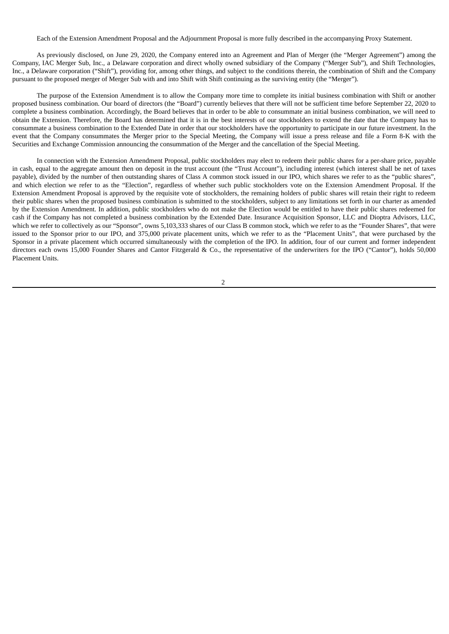Each of the Extension Amendment Proposal and the Adjournment Proposal is more fully described in the accompanying Proxy Statement.

As previously disclosed, on June 29, 2020, the Company entered into an Agreement and Plan of Merger (the "Merger Agreement") among the Company, IAC Merger Sub, Inc., a Delaware corporation and direct wholly owned subsidiary of the Company ("Merger Sub"), and Shift Technologies, Inc., a Delaware corporation ("Shift"), providing for, among other things, and subject to the conditions therein, the combination of Shift and the Company pursuant to the proposed merger of Merger Sub with and into Shift with Shift continuing as the surviving entity (the "Merger").

The purpose of the Extension Amendment is to allow the Company more time to complete its initial business combination with Shift or another proposed business combination. Our board of directors (the "Board") currently believes that there will not be sufficient time before September 22, 2020 to complete a business combination. Accordingly, the Board believes that in order to be able to consummate an initial business combination, we will need to obtain the Extension. Therefore, the Board has determined that it is in the best interests of our stockholders to extend the date that the Company has to consummate a business combination to the Extended Date in order that our stockholders have the opportunity to participate in our future investment. In the event that the Company consummates the Merger prior to the Special Meeting, the Company will issue a press release and file a Form 8-K with the Securities and Exchange Commission announcing the consummation of the Merger and the cancellation of the Special Meeting.

In connection with the Extension Amendment Proposal, public stockholders may elect to redeem their public shares for a per-share price, payable in cash, equal to the aggregate amount then on deposit in the trust account (the "Trust Account"), including interest (which interest shall be net of taxes payable), divided by the number of then outstanding shares of Class A common stock issued in our IPO, which shares we refer to as the "public shares", and which election we refer to as the "Election", regardless of whether such public stockholders vote on the Extension Amendment Proposal. If the Extension Amendment Proposal is approved by the requisite vote of stockholders, the remaining holders of public shares will retain their right to redeem their public shares when the proposed business combination is submitted to the stockholders, subject to any limitations set forth in our charter as amended by the Extension Amendment. In addition, public stockholders who do not make the Election would be entitled to have their public shares redeemed for cash if the Company has not completed a business combination by the Extended Date. Insurance Acquisition Sponsor, LLC and Dioptra Advisors, LLC, which we refer to collectively as our "Sponsor", owns 5,103,333 shares of our Class B common stock, which we refer to as the "Founder Shares", that were issued to the Sponsor prior to our IPO, and 375,000 private placement units, which we refer to as the "Placement Units", that were purchased by the Sponsor in a private placement which occurred simultaneously with the completion of the IPO. In addition, four of our current and former independent directors each owns 15,000 Founder Shares and Cantor Fitzgerald & Co., the representative of the underwriters for the IPO ("Cantor"), holds 50,000 Placement Units.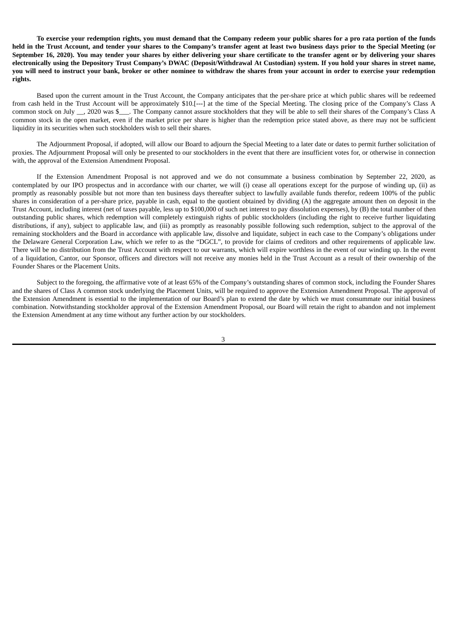To exercise your redemption rights, you must demand that the Company redeem your public shares for a pro rata portion of the funds held in the Trust Account, and tender your shares to the Company's transfer agent at least two business days prior to the Special Meeting (or September 16, 2020). You may tender your shares by either delivering your share certificate to the transfer agent or by delivering your shares electronically using the Depository Trust Company's DWAC (Deposit/Withdrawal At Custodian) system. If you hold your shares in street name, you will need to instruct your bank, broker or other nominee to withdraw the shares from your account in order to exercise your redemption **rights.**

Based upon the current amount in the Trust Account, the Company anticipates that the per-share price at which public shares will be redeemed from cash held in the Trust Account will be approximately \$10.[---] at the time of the Special Meeting. The closing price of the Company's Class A common stock on July \_\_, 2020 was \$\_\_\_. The Company cannot assure stockholders that they will be able to sell their shares of the Company's Class A common stock in the open market, even if the market price per share is higher than the redemption price stated above, as there may not be sufficient liquidity in its securities when such stockholders wish to sell their shares.

The Adjournment Proposal, if adopted, will allow our Board to adjourn the Special Meeting to a later date or dates to permit further solicitation of proxies. The Adjournment Proposal will only be presented to our stockholders in the event that there are insufficient votes for, or otherwise in connection with, the approval of the Extension Amendment Proposal.

If the Extension Amendment Proposal is not approved and we do not consummate a business combination by September 22, 2020, as contemplated by our IPO prospectus and in accordance with our charter, we will (i) cease all operations except for the purpose of winding up, (ii) as promptly as reasonably possible but not more than ten business days thereafter subject to lawfully available funds therefor, redeem 100% of the public shares in consideration of a per-share price, payable in cash, equal to the quotient obtained by dividing (A) the aggregate amount then on deposit in the Trust Account, including interest (net of taxes payable, less up to \$100,000 of such net interest to pay dissolution expenses), by (B) the total number of then outstanding public shares, which redemption will completely extinguish rights of public stockholders (including the right to receive further liquidating distributions, if any), subject to applicable law, and (iii) as promptly as reasonably possible following such redemption, subject to the approval of the remaining stockholders and the Board in accordance with applicable law, dissolve and liquidate, subject in each case to the Company's obligations under the Delaware General Corporation Law, which we refer to as the "DGCL", to provide for claims of creditors and other requirements of applicable law. There will be no distribution from the Trust Account with respect to our warrants, which will expire worthless in the event of our winding up. In the event of a liquidation, Cantor, our Sponsor, officers and directors will not receive any monies held in the Trust Account as a result of their ownership of the Founder Shares or the Placement Units.

Subject to the foregoing, the affirmative vote of at least 65% of the Company's outstanding shares of common stock, including the Founder Shares and the shares of Class A common stock underlying the Placement Units, will be required to approve the Extension Amendment Proposal. The approval of the Extension Amendment is essential to the implementation of our Board's plan to extend the date by which we must consummate our initial business combination. Notwithstanding stockholder approval of the Extension Amendment Proposal, our Board will retain the right to abandon and not implement the Extension Amendment at any time without any further action by our stockholders.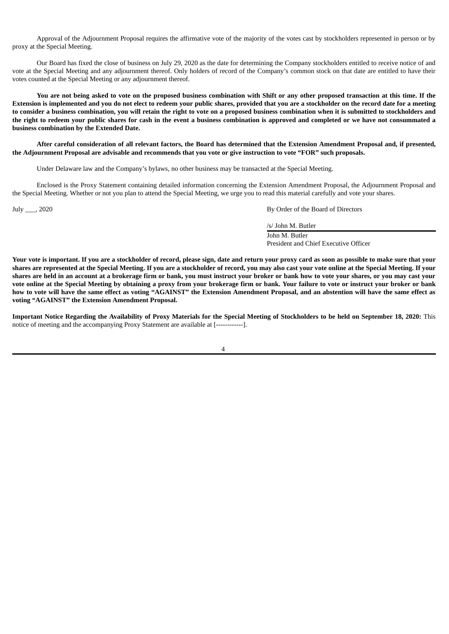Approval of the Adjournment Proposal requires the affirmative vote of the majority of the votes cast by stockholders represented in person or by proxy at the Special Meeting.

Our Board has fixed the close of business on July 29, 2020 as the date for determining the Company stockholders entitled to receive notice of and vote at the Special Meeting and any adjournment thereof. Only holders of record of the Company's common stock on that date are entitled to have their votes counted at the Special Meeting or any adjournment thereof.

You are not being asked to vote on the proposed business combination with Shift or any other proposed transaction at this time. If the Extension is implemented and you do not elect to redeem your public shares, provided that you are a stockholder on the record date for a meeting to consider a business combination, you will retain the right to vote on a proposed business combination when it is submitted to stockholders and the right to redeem your public shares for cash in the event a business combination is approved and completed or we have not consummated a **business combination by the Extended Date.**

After careful consideration of all relevant factors, the Board has determined that the Extension Amendment Proposal and, if presented, the Adjournment Proposal are advisable and recommends that you vote or give instruction to vote "FOR" such proposals.

Under Delaware law and the Company's bylaws, no other business may be transacted at the Special Meeting.

Enclosed is the Proxy Statement containing detailed information concerning the Extension Amendment Proposal, the Adjournment Proposal and the Special Meeting. Whether or not you plan to attend the Special Meeting, we urge you to read this material carefully and vote your shares.

July \_\_\_, 2020 By Order of the Board of Directors

/s/ John M. Butler John M. Butler

President and Chief Executive Officer

Your vote is important. If you are a stockholder of record, please sign, date and return your proxy card as soon as possible to make sure that your shares are represented at the Special Meeting. If you are a stockholder of record, you may also cast your vote online at the Special Meeting. If your shares are held in an account at a brokerage firm or bank, you must instruct your broker or bank how to vote your shares, or you may cast your vote online at the Special Meeting by obtaining a proxy from your brokerage firm or bank. Your failure to vote or instruct your broker or bank how to vote will have the same effect as voting "AGAINST" the Extension Amendment Proposal, and an abstention will have the same effect as **voting "AGAINST" the Extension Amendment Proposal.**

Important Notice Regarding the Availability of Proxy Materials for the Special Meeting of Stockholders to be held on September 18, 2020: This notice of meeting and the accompanying Proxy Statement are available at [------------].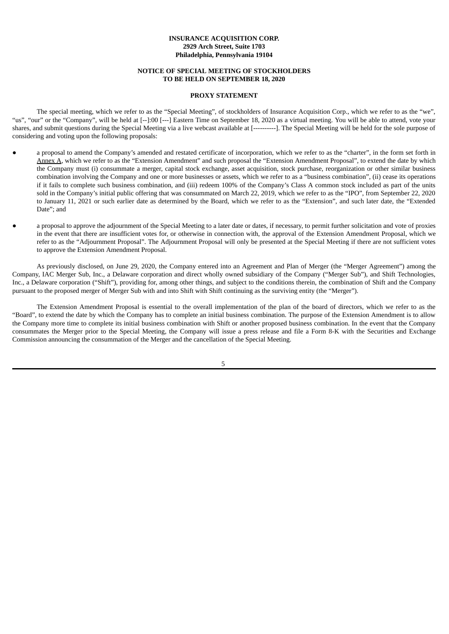## **INSURANCE ACQUISITION CORP. 2929 Arch Street, Suite 1703 Philadelphia, Pennsylvania 19104**

#### **NOTICE OF SPECIAL MEETING OF STOCKHOLDERS TO BE HELD ON SEPTEMBER 18, 2020**

## **PROXY STATEMENT**

The special meeting, which we refer to as the "Special Meeting", of stockholders of Insurance Acquisition Corp., which we refer to as the "we", "us", "our" or the "Company", will be held at [--]:00 [---] Eastern Time on September 18, 2020 as a virtual meeting. You will be able to attend, vote your shares, and submit questions during the Special Meeting via a live webcast available at [----------]. The Special Meeting will be held for the sole purpose of considering and voting upon the following proposals:

- a proposal to amend the Company's amended and restated certificate of incorporation, which we refer to as the "charter", in the form set forth in Annex A, which we refer to as the "Extension Amendment" and such proposal the "Extension Amendment Proposal", to extend the date by which the Company must (i) consummate a merger, capital stock exchange, asset acquisition, stock purchase, reorganization or other similar business combination involving the Company and one or more businesses or assets, which we refer to as a "business combination", (ii) cease its operations if it fails to complete such business combination, and (iii) redeem 100% of the Company's Class A common stock included as part of the units sold in the Company's initial public offering that was consummated on March 22, 2019, which we refer to as the "IPO", from September 22, 2020 to January 11, 2021 or such earlier date as determined by the Board, which we refer to as the "Extension", and such later date, the "Extended Date"; and
- a proposal to approve the adjournment of the Special Meeting to a later date or dates, if necessary, to permit further solicitation and vote of proxies in the event that there are insufficient votes for, or otherwise in connection with, the approval of the Extension Amendment Proposal, which we refer to as the "Adjournment Proposal". The Adjournment Proposal will only be presented at the Special Meeting if there are not sufficient votes to approve the Extension Amendment Proposal.

As previously disclosed, on June 29, 2020, the Company entered into an Agreement and Plan of Merger (the "Merger Agreement") among the Company, IAC Merger Sub, Inc., a Delaware corporation and direct wholly owned subsidiary of the Company ("Merger Sub"), and Shift Technologies, Inc., a Delaware corporation ("Shift"), providing for, among other things, and subject to the conditions therein, the combination of Shift and the Company pursuant to the proposed merger of Merger Sub with and into Shift with Shift continuing as the surviving entity (the "Merger").

The Extension Amendment Proposal is essential to the overall implementation of the plan of the board of directors, which we refer to as the "Board", to extend the date by which the Company has to complete an initial business combination. The purpose of the Extension Amendment is to allow the Company more time to complete its initial business combination with Shift or another proposed business combination. In the event that the Company consummates the Merger prior to the Special Meeting, the Company will issue a press release and file a Form 8-K with the Securities and Exchange Commission announcing the consummation of the Merger and the cancellation of the Special Meeting.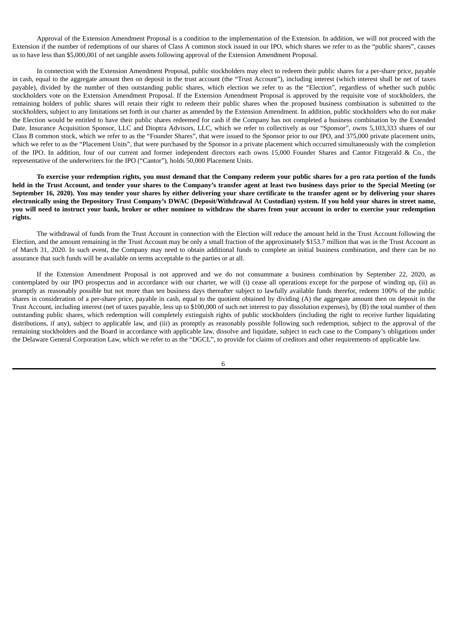Approval of the Extension Amendment Proposal is a condition to the implementation of the Extension. In addition, we will not proceed with the Extension if the number of redemptions of our shares of Class A common stock issued in our IPO, which shares we refer to as the "public shares", causes us to have less than \$5,000,001 of net tangible assets following approval of the Extension Amendment Proposal.

In connection with the Extension Amendment Proposal, public stockholders may elect to redeem their public shares for a per-share price, payable in cash, equal to the aggregate amount then on deposit in the trust account (the "Trust Account"), including interest (which interest shall be net of taxes payable), divided by the number of then outstanding public shares, which election we refer to as the "Election", regardless of whether such public stockholders vote on the Extension Amendment Proposal. If the Extension Amendment Proposal is approved by the requisite vote of stockholders, the remaining holders of public shares will retain their right to redeem their public shares when the proposed business combination is submitted to the stockholders, subject to any limitations set forth in our charter as amended by the Extension Amendment. In addition, public stockholders who do not make the Election would be entitled to have their public shares redeemed for cash if the Company has not completed a business combination by the Extended Date. Insurance Acquisition Sponsor, LLC and Dioptra Advisors, LLC, which we refer to collectively as our "Sponsor", owns 5,103,333 shares of our Class B common stock, which we refer to as the "Founder Shares", that were issued to the Sponsor prior to our IPO, and 375,000 private placement units, which we refer to as the "Placement Units", that were purchased by the Sponsor in a private placement which occurred simultaneously with the completion of the IPO. In addition, four of our current and former independent directors each owns 15,000 Founder Shares and Cantor Fitzgerald & Co., the representative of the underwriters for the IPO ("Cantor"), holds 50,000 Placement Units.

To exercise your redemption rights, you must demand that the Company redeem your public shares for a pro rata portion of the funds held in the Trust Account, and tender your shares to the Company's transfer agent at least two business days prior to the Special Meeting (or September 16, 2020). You may tender your shares by either delivering your share certificate to the transfer agent or by delivering your shares electronically using the Depository Trust Company's DWAC (Deposit/Withdrawal At Custodian) system. If you hold your shares in street name, you will need to instruct your bank, broker or other nominee to withdraw the shares from your account in order to exercise your redemption **rights.**

The withdrawal of funds from the Trust Account in connection with the Election will reduce the amount held in the Trust Account following the Election, and the amount remaining in the Trust Account may be only a small fraction of the approximately \$153.7 million that was in the Trust Account as of March 31, 2020. In such event, the Company may need to obtain additional funds to complete an initial business combination, and there can be no assurance that such funds will be available on terms acceptable to the parties or at all.

If the Extension Amendment Proposal is not approved and we do not consummate a business combination by September 22, 2020, as contemplated by our IPO prospectus and in accordance with our charter, we will (i) cease all operations except for the purpose of winding up, (ii) as promptly as reasonably possible but not more than ten business days thereafter subject to lawfully available funds therefor, redeem 100% of the public shares in consideration of a per-share price, payable in cash, equal to the quotient obtained by dividing (A) the aggregate amount then on deposit in the Trust Account, including interest (net of taxes payable, less up to \$100,000 of such net interest to pay dissolution expenses), by (B) the total number of then outstanding public shares, which redemption will completely extinguish rights of public stockholders (including the right to receive further liquidating distributions, if any), subject to applicable law, and (iii) as promptly as reasonably possible following such redemption, subject to the approval of the remaining stockholders and the Board in accordance with applicable law, dissolve and liquidate, subject in each case to the Company's obligations under the Delaware General Corporation Law, which we refer to as the "DGCL", to provide for claims of creditors and other requirements of applicable law.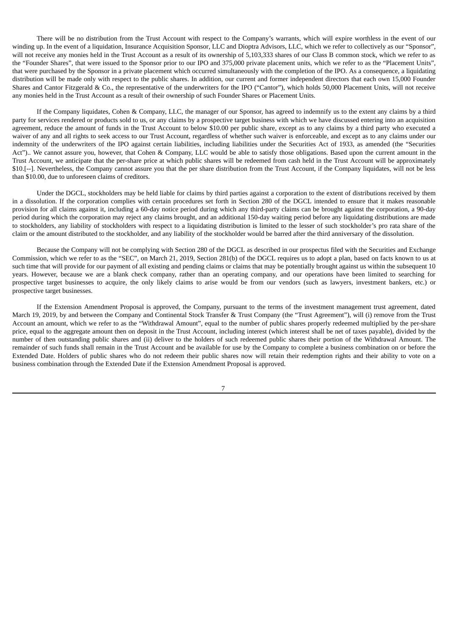There will be no distribution from the Trust Account with respect to the Company's warrants, which will expire worthless in the event of our winding up. In the event of a liquidation, Insurance Acquisition Sponsor, LLC and Dioptra Advisors, LLC, which we refer to collectively as our "Sponsor", will not receive any monies held in the Trust Account as a result of its ownership of 5,103,333 shares of our Class B common stock, which we refer to as the "Founder Shares", that were issued to the Sponsor prior to our IPO and 375,000 private placement units, which we refer to as the "Placement Units", that were purchased by the Sponsor in a private placement which occurred simultaneously with the completion of the IPO. As a consequence, a liquidating distribution will be made only with respect to the public shares. In addition, our current and former independent directors that each own 15,000 Founder Shares and Cantor Fitzgerald & Co., the representative of the underwriters for the IPO ("Cantor"), which holds 50,000 Placement Units, will not receive any monies held in the Trust Account as a result of their ownership of such Founder Shares or Placement Units.

If the Company liquidates, Cohen & Company, LLC, the manager of our Sponsor, has agreed to indemnify us to the extent any claims by a third party for services rendered or products sold to us, or any claims by a prospective target business with which we have discussed entering into an acquisition agreement, reduce the amount of funds in the Trust Account to below \$10.00 per public share, except as to any claims by a third party who executed a waiver of any and all rights to seek access to our Trust Account, regardless of whether such waiver is enforceable, and except as to any claims under our indemnity of the underwriters of the IPO against certain liabilities, including liabilities under the Securities Act of 1933, as amended (the "Securities Act").. We cannot assure you, however, that Cohen & Company, LLC would be able to satisfy those obligations. Based upon the current amount in the Trust Account, we anticipate that the per-share price at which public shares will be redeemed from cash held in the Trust Account will be approximately \$10.[--]. Nevertheless, the Company cannot assure you that the per share distribution from the Trust Account, if the Company liquidates, will not be less than \$10.00, due to unforeseen claims of creditors.

Under the DGCL, stockholders may be held liable for claims by third parties against a corporation to the extent of distributions received by them in a dissolution. If the corporation complies with certain procedures set forth in Section 280 of the DGCL intended to ensure that it makes reasonable provision for all claims against it, including a 60-day notice period during which any third-party claims can be brought against the corporation, a 90-day period during which the corporation may reject any claims brought, and an additional 150-day waiting period before any liquidating distributions are made to stockholders, any liability of stockholders with respect to a liquidating distribution is limited to the lesser of such stockholder's pro rata share of the claim or the amount distributed to the stockholder, and any liability of the stockholder would be barred after the third anniversary of the dissolution.

Because the Company will not be complying with Section 280 of the DGCL as described in our prospectus filed with the Securities and Exchange Commission, which we refer to as the "SEC", on March 21, 2019, Section 281(b) of the DGCL requires us to adopt a plan, based on facts known to us at such time that will provide for our payment of all existing and pending claims or claims that may be potentially brought against us within the subsequent 10 years. However, because we are a blank check company, rather than an operating company, and our operations have been limited to searching for prospective target businesses to acquire, the only likely claims to arise would be from our vendors (such as lawyers, investment bankers, etc.) or prospective target businesses.

If the Extension Amendment Proposal is approved, the Company, pursuant to the terms of the investment management trust agreement, dated March 19, 2019, by and between the Company and Continental Stock Transfer & Trust Company (the "Trust Agreement"), will (i) remove from the Trust Account an amount, which we refer to as the "Withdrawal Amount", equal to the number of public shares properly redeemed multiplied by the per-share price, equal to the aggregate amount then on deposit in the Trust Account, including interest (which interest shall be net of taxes payable), divided by the number of then outstanding public shares and (ii) deliver to the holders of such redeemed public shares their portion of the Withdrawal Amount. The remainder of such funds shall remain in the Trust Account and be available for use by the Company to complete a business combination on or before the Extended Date. Holders of public shares who do not redeem their public shares now will retain their redemption rights and their ability to vote on a business combination through the Extended Date if the Extension Amendment Proposal is approved.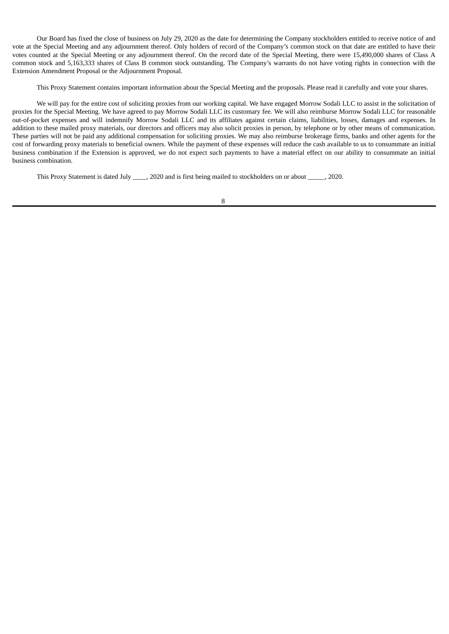Our Board has fixed the close of business on July 29, 2020 as the date for determining the Company stockholders entitled to receive notice of and vote at the Special Meeting and any adjournment thereof. Only holders of record of the Company's common stock on that date are entitled to have their votes counted at the Special Meeting or any adjournment thereof. On the record date of the Special Meeting, there were 15,490,000 shares of Class A common stock and 5,163,333 shares of Class B common stock outstanding. The Company's warrants do not have voting rights in connection with the Extension Amendment Proposal or the Adjournment Proposal.

This Proxy Statement contains important information about the Special Meeting and the proposals. Please read it carefully and vote your shares.

We will pay for the entire cost of soliciting proxies from our working capital. We have engaged Morrow Sodali LLC to assist in the solicitation of proxies for the Special Meeting. We have agreed to pay Morrow Sodali LLC its customary fee. We will also reimburse Morrow Sodali LLC for reasonable out-of-pocket expenses and will indemnify Morrow Sodali LLC and its affiliates against certain claims, liabilities, losses, damages and expenses. In addition to these mailed proxy materials, our directors and officers may also solicit proxies in person, by telephone or by other means of communication. These parties will not be paid any additional compensation for soliciting proxies. We may also reimburse brokerage firms, banks and other agents for the cost of forwarding proxy materials to beneficial owners. While the payment of these expenses will reduce the cash available to us to consummate an initial business combination if the Extension is approved, we do not expect such payments to have a material effect on our ability to consummate an initial business combination.

This Proxy Statement is dated July \_\_\_\_, 2020 and is first being mailed to stockholders on or about \_\_\_\_\_, 2020.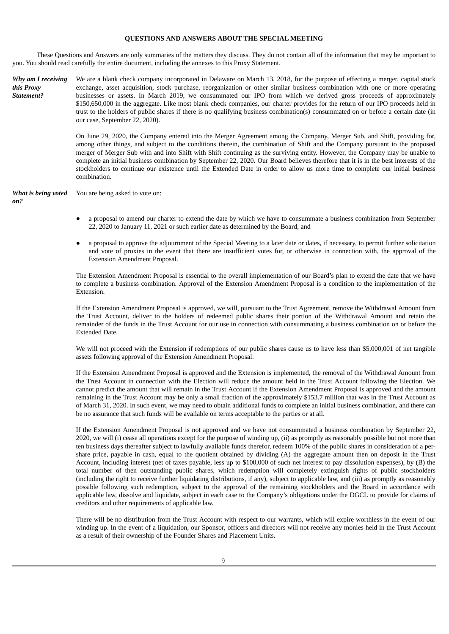## **QUESTIONS AND ANSWERS ABOUT THE SPECIAL MEETING**

These Questions and Answers are only summaries of the matters they discuss. They do not contain all of the information that may be important to you. You should read carefully the entire document, including the annexes to this Proxy Statement.

*Why am I receiving this Proxy Statement?* We are a blank check company incorporated in Delaware on March 13, 2018, for the purpose of effecting a merger, capital stock exchange, asset acquisition, stock purchase, reorganization or other similar business combination with one or more operating businesses or assets. In March 2019, we consummated our IPO from which we derived gross proceeds of approximately \$150,650,000 in the aggregate. Like most blank check companies, our charter provides for the return of our IPO proceeds held in trust to the holders of public shares if there is no qualifying business combination(s) consummated on or before a certain date (in our case, September 22, 2020).

> On June 29, 2020, the Company entered into the Merger Agreement among the Company, Merger Sub, and Shift, providing for, among other things, and subject to the conditions therein, the combination of Shift and the Company pursuant to the proposed merger of Merger Sub with and into Shift with Shift continuing as the surviving entity. However, the Company may be unable to complete an initial business combination by September 22, 2020. Our Board believes therefore that it is in the best interests of the stockholders to continue our existence until the Extended Date in order to allow us more time to complete our initial business combination.

*What is being voted on?* You are being asked to vote on:

- a proposal to amend our charter to extend the date by which we have to consummate a business combination from September 22, 2020 to January 11, 2021 or such earlier date as determined by the Board; and
- a proposal to approve the adjournment of the Special Meeting to a later date or dates, if necessary, to permit further solicitation and vote of proxies in the event that there are insufficient votes for, or otherwise in connection with, the approval of the Extension Amendment Proposal.

The Extension Amendment Proposal is essential to the overall implementation of our Board's plan to extend the date that we have to complete a business combination. Approval of the Extension Amendment Proposal is a condition to the implementation of the Extension.

If the Extension Amendment Proposal is approved, we will, pursuant to the Trust Agreement, remove the Withdrawal Amount from the Trust Account, deliver to the holders of redeemed public shares their portion of the Withdrawal Amount and retain the remainder of the funds in the Trust Account for our use in connection with consummating a business combination on or before the Extended Date.

We will not proceed with the Extension if redemptions of our public shares cause us to have less than \$5,000,001 of net tangible assets following approval of the Extension Amendment Proposal.

If the Extension Amendment Proposal is approved and the Extension is implemented, the removal of the Withdrawal Amount from the Trust Account in connection with the Election will reduce the amount held in the Trust Account following the Election. We cannot predict the amount that will remain in the Trust Account if the Extension Amendment Proposal is approved and the amount remaining in the Trust Account may be only a small fraction of the approximately \$153.7 million that was in the Trust Account as of March 31, 2020. In such event, we may need to obtain additional funds to complete an initial business combination, and there can be no assurance that such funds will be available on terms acceptable to the parties or at all.

If the Extension Amendment Proposal is not approved and we have not consummated a business combination by September 22, 2020, we will (i) cease all operations except for the purpose of winding up, (ii) as promptly as reasonably possible but not more than ten business days thereafter subject to lawfully available funds therefor, redeem 100% of the public shares in consideration of a pershare price, payable in cash, equal to the quotient obtained by dividing (A) the aggregate amount then on deposit in the Trust Account, including interest (net of taxes payable, less up to \$100,000 of such net interest to pay dissolution expenses), by (B) the total number of then outstanding public shares, which redemption will completely extinguish rights of public stockholders (including the right to receive further liquidating distributions, if any), subject to applicable law, and (iii) as promptly as reasonably possible following such redemption, subject to the approval of the remaining stockholders and the Board in accordance with applicable law, dissolve and liquidate, subject in each case to the Company's obligations under the DGCL to provide for claims of creditors and other requirements of applicable law.

There will be no distribution from the Trust Account with respect to our warrants, which will expire worthless in the event of our winding up. In the event of a liquidation, our Sponsor, officers and directors will not receive any monies held in the Trust Account as a result of their ownership of the Founder Shares and Placement Units.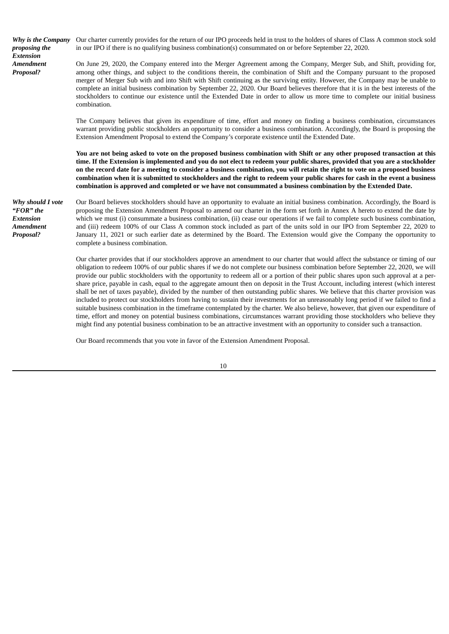*Why is the Company proposing the Extension Amendment Proposal?*

Our charter currently provides for the return of our IPO proceeds held in trust to the holders of shares of Class A common stock sold in our IPO if there is no qualifying business combination(s) consummated on or before September 22, 2020.

On June 29, 2020, the Company entered into the Merger Agreement among the Company, Merger Sub, and Shift, providing for, among other things, and subject to the conditions therein, the combination of Shift and the Company pursuant to the proposed merger of Merger Sub with and into Shift with Shift continuing as the surviving entity. However, the Company may be unable to complete an initial business combination by September 22, 2020. Our Board believes therefore that it is in the best interests of the stockholders to continue our existence until the Extended Date in order to allow us more time to complete our initial business combination.

The Company believes that given its expenditure of time, effort and money on finding a business combination, circumstances warrant providing public stockholders an opportunity to consider a business combination. Accordingly, the Board is proposing the Extension Amendment Proposal to extend the Company's corporate existence until the Extended Date.

You are not being asked to vote on the proposed business combination with Shift or any other proposed transaction at this time. If the Extension is implemented and you do not elect to redeem your public shares, provided that you are a stockholder on the record date for a meeting to consider a business combination, you will retain the right to vote on a proposed business combination when it is submitted to stockholders and the right to redeem your public shares for cash in the event a business combination is approved and completed or we have not consummated a business combination by the Extended Date.

*Why should I vote "FOR" the Extension Amendment Proposal?*

Our Board believes stockholders should have an opportunity to evaluate an initial business combination. Accordingly, the Board is proposing the Extension Amendment Proposal to amend our charter in the form set forth in Annex A hereto to extend the date by which we must (i) consummate a business combination, (ii) cease our operations if we fail to complete such business combination, and (iii) redeem 100% of our Class A common stock included as part of the units sold in our IPO from September 22, 2020 to January 11, 2021 or such earlier date as determined by the Board. The Extension would give the Company the opportunity to complete a business combination.

Our charter provides that if our stockholders approve an amendment to our charter that would affect the substance or timing of our obligation to redeem 100% of our public shares if we do not complete our business combination before September 22, 2020, we will provide our public stockholders with the opportunity to redeem all or a portion of their public shares upon such approval at a pershare price, payable in cash, equal to the aggregate amount then on deposit in the Trust Account, including interest (which interest shall be net of taxes payable), divided by the number of then outstanding public shares. We believe that this charter provision was included to protect our stockholders from having to sustain their investments for an unreasonably long period if we failed to find a suitable business combination in the timeframe contemplated by the charter. We also believe, however, that given our expenditure of time, effort and money on potential business combinations, circumstances warrant providing those stockholders who believe they might find any potential business combination to be an attractive investment with an opportunity to consider such a transaction.

Our Board recommends that you vote in favor of the Extension Amendment Proposal.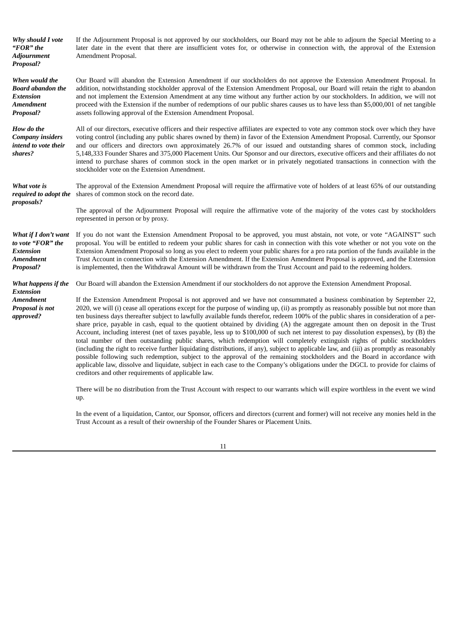*Why should I vote "FOR" the Adjournment Proposal?* If the Adjournment Proposal is not approved by our stockholders, our Board may not be able to adjourn the Special Meeting to a later date in the event that there are insufficient votes for, or otherwise in connection with, the approval of the Extension Amendment Proposal. *When would the Board abandon the Extension Amendment Proposal?* Our Board will abandon the Extension Amendment if our stockholders do not approve the Extension Amendment Proposal. In addition, notwithstanding stockholder approval of the Extension Amendment Proposal, our Board will retain the right to abandon and not implement the Extension Amendment at any time without any further action by our stockholders. In addition, we will not proceed with the Extension if the number of redemptions of our public shares causes us to have less than \$5,000,001 of net tangible assets following approval of the Extension Amendment Proposal. *How do the Company insiders intend to vote their shares?* All of our directors, executive officers and their respective affiliates are expected to vote any common stock over which they have voting control (including any public shares owned by them) in favor of the Extension Amendment Proposal. Currently, our Sponsor and our officers and directors own approximately 26.7% of our issued and outstanding shares of common stock, including 5,148,333 Founder Shares and 375,000 Placement Units. Our Sponsor and our directors, executive officers and their affiliates do not intend to purchase shares of common stock in the open market or in privately negotiated transactions in connection with the stockholder vote on the Extension Amendment. *What vote is required to adopt the proposals?* The approval of the Extension Amendment Proposal will require the affirmative vote of holders of at least 65% of our outstanding shares of common stock on the record date. The approval of the Adjournment Proposal will require the affirmative vote of the majority of the votes cast by stockholders represented in person or by proxy. *What if I don't want to vote "FOR" the Extension Amendment Proposal?* If you do not want the Extension Amendment Proposal to be approved, you must abstain, not vote, or vote "AGAINST" such proposal. You will be entitled to redeem your public shares for cash in connection with this vote whether or not you vote on the Extension Amendment Proposal so long as you elect to redeem your public shares for a pro rata portion of the funds available in the Trust Account in connection with the Extension Amendment. If the Extension Amendment Proposal is approved, and the Extension is implemented, then the Withdrawal Amount will be withdrawn from the Trust Account and paid to the redeeming holders. *What happens if the Extension Amendment Proposal is not approved?* Our Board will abandon the Extension Amendment if our stockholders do not approve the Extension Amendment Proposal. If the Extension Amendment Proposal is not approved and we have not consummated a business combination by September 22, 2020, we will (i) cease all operations except for the purpose of winding up, (ii) as promptly as reasonably possible but not more than ten business days thereafter subject to lawfully available funds therefor, redeem 100% of the public shares in consideration of a pershare price, payable in cash, equal to the quotient obtained by dividing (A) the aggregate amount then on deposit in the Trust Account, including interest (net of taxes payable, less up to \$100,000 of such net interest to pay dissolution expenses), by (B) the total number of then outstanding public shares, which redemption will completely extinguish rights of public stockholders (including the right to receive further liquidating distributions, if any), subject to applicable law, and (iii) as promptly as reasonably possible following such redemption, subject to the approval of the remaining stockholders and the Board in accordance with applicable law, dissolve and liquidate, subject in each case to the Company's obligations under the DGCL to provide for claims of creditors and other requirements of applicable law. There will be no distribution from the Trust Account with respect to our warrants which will expire worthless in the event we wind up.

> In the event of a liquidation, Cantor, our Sponsor, officers and directors (current and former) will not receive any monies held in the Trust Account as a result of their ownership of the Founder Shares or Placement Units.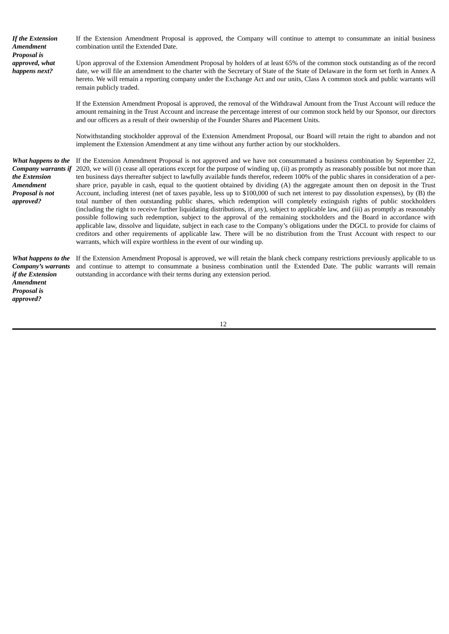*If the Extension Amendment Proposal is approved, what happens next?* If the Extension Amendment Proposal is approved, the Company will continue to attempt to consummate an initial business combination until the Extended Date. Upon approval of the Extension Amendment Proposal by holders of at least 65% of the common stock outstanding as of the record date, we will file an amendment to the charter with the Secretary of State of the State of Delaware in the form set forth in Annex A hereto. We will remain a reporting company under the Exchange Act and our units, Class A common stock and public warrants will remain publicly traded. If the Extension Amendment Proposal is approved, the removal of the Withdrawal Amount from the Trust Account will reduce the amount remaining in the Trust Account and increase the percentage interest of our common stock held by our Sponsor, our directors and our officers as a result of their ownership of the Founder Shares and Placement Units. Notwithstanding stockholder approval of the Extension Amendment Proposal, our Board will retain the right to abandon and not implement the Extension Amendment at any time without any further action by our stockholders. *What happens to the* If the Extension Amendment Proposal is not approved and we have not consummated a business combination by September 22, *Company warrants if the Extension Amendment Proposal is not approved?* 2020, we will (i) cease all operations except for the purpose of winding up, (ii) as promptly as reasonably possible but not more than ten business days thereafter subject to lawfully available funds therefor, redeem 100% of the public shares in consideration of a pershare price, payable in cash, equal to the quotient obtained by dividing (A) the aggregate amount then on deposit in the Trust Account, including interest (net of taxes payable, less up to \$100,000 of such net interest to pay dissolution expenses), by (B) the total number of then outstanding public shares, which redemption will completely extinguish rights of public stockholders (including the right to receive further liquidating distributions, if any), subject to applicable law, and (iii) as promptly as reasonably possible following such redemption, subject to the approval of the remaining stockholders and the Board in accordance with applicable law, dissolve and liquidate, subject in each case to the Company's obligations under the DGCL to provide for claims of creditors and other requirements of applicable law. There will be no distribution from the Trust Account with respect to our warrants, which will expire worthless in the event of our winding up. *What happens to the Company's warrants if the Extension Amendment Proposal is approved?* If the Extension Amendment Proposal is approved, we will retain the blank check company restrictions previously applicable to us and continue to attempt to consummate a business combination until the Extended Date. The public warrants will remain outstanding in accordance with their terms during any extension period.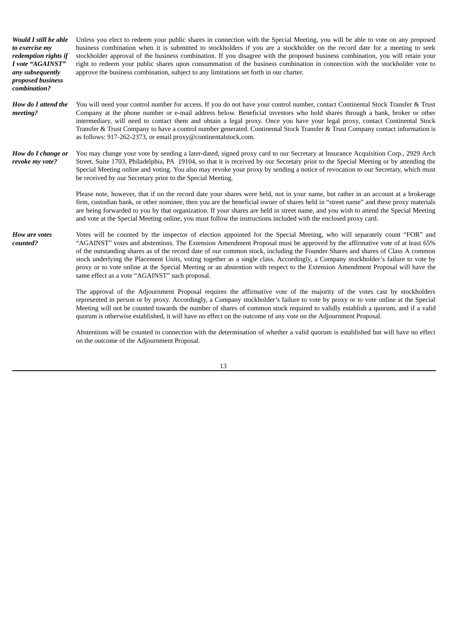*Would I still be able to exercise my redemption rights if I vote "AGAINST" any subsequently proposed business combination?* Unless you elect to redeem your public shares in connection with the Special Meeting, you will be able to vote on any proposed business combination when it is submitted to stockholders if you are a stockholder on the record date for a meeting to seek stockholder approval of the business combination. If you disagree with the proposed business combination, you will retain your right to redeem your public shares upon consummation of the business combination in connection with the stockholder vote to approve the business combination, subject to any limitations set forth in our charter. *How do I attend the meeting?* You will need your control number for access. If you do not have your control number, contact Continental Stock Transfer & Trust Company at the phone number or e-mail address below. Beneficial investors who hold shares through a bank, broker or other intermediary, will need to contact them and obtain a legal proxy. Once you have your legal proxy, contact Continental Stock Transfer & Trust Company to have a control number generated. Continental Stock Transfer & Trust Company contact information is as follows: 917-262-2373, or email proxy@continentalstock.com. *How do I change or revoke my vote?* You may change your vote by sending a later-dated, signed proxy card to our Secretary at Insurance Acquisition Corp., 2929 Arch Street, Suite 1703, Philadelphia, PA 19104, so that it is received by our Secretary prior to the Special Meeting or by attending the Special Meeting online and voting. You also may revoke your proxy by sending a notice of revocation to our Secretary, which must be received by our Secretary prior to the Special Meeting. Please note, however, that if on the record date your shares were held, not in your name, but rather in an account at a brokerage firm, custodian bank, or other nominee, then you are the beneficial owner of shares held in "street name" and these proxy materials are being forwarded to you by that organization. If your shares are held in street name, and you wish to attend the Special Meeting and vote at the Special Meeting online, you must follow the instructions included with the enclosed proxy card. *How are votes counted?* Votes will be counted by the inspector of election appointed for the Special Meeting, who will separately count "FOR" and "AGAINST" votes and abstentions. The Extension Amendment Proposal must be approved by the affirmative vote of at least 65% of the outstanding shares as of the record date of our common stock, including the Founder Shares and shares of Class A common stock underlying the Placement Units, voting together as a single class. Accordingly, a Company stockholder's failure to vote by proxy or to vote online at the Special Meeting or an abstention with respect to the Extension Amendment Proposal will have the same effect as a vote "AGAINST" such proposal. The approval of the Adjournment Proposal requires the affirmative vote of the majority of the votes cast by stockholders represented in person or by proxy. Accordingly, a Company stockholder's failure to vote by proxy or to vote online at the Special Meeting will not be counted towards the number of shares of common stock required to validly establish a quorum, and if a valid quorum is otherwise established, it will have no effect on the outcome of any vote on the Adjournment Proposal. Abstentions will be counted in connection with the determination of whether a valid quorum is established but will have no effect on the outcome of the Adjournment Proposal.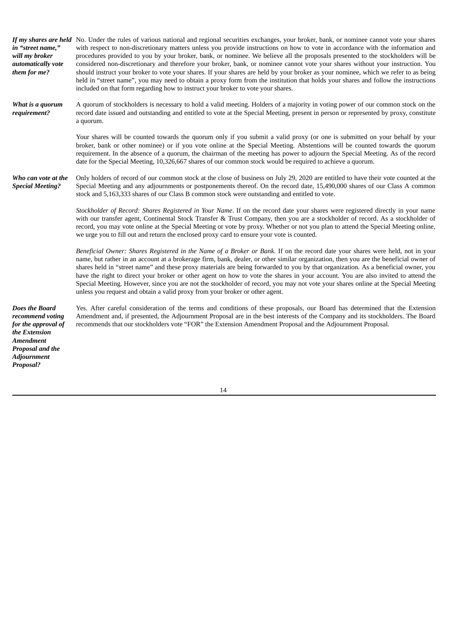| in "street name,"<br>will my broker<br>automatically vote<br>them for me?                                                                             | If my shares are held No. Under the rules of various national and regional securities exchanges, your broker, bank, or nominee cannot vote your shares<br>with respect to non-discretionary matters unless you provide instructions on how to vote in accordance with the information and<br>procedures provided to you by your broker, bank, or nominee. We believe all the proposals presented to the stockholders will be<br>considered non-discretionary and therefore your broker, bank, or nominee cannot vote your shares without your instruction. You<br>should instruct your broker to vote your shares. If your shares are held by your broker as your nominee, which we refer to as being<br>held in "street name", you may need to obtain a proxy form from the institution that holds your shares and follow the instructions<br>included on that form regarding how to instruct your broker to vote your shares. |
|-------------------------------------------------------------------------------------------------------------------------------------------------------|---------------------------------------------------------------------------------------------------------------------------------------------------------------------------------------------------------------------------------------------------------------------------------------------------------------------------------------------------------------------------------------------------------------------------------------------------------------------------------------------------------------------------------------------------------------------------------------------------------------------------------------------------------------------------------------------------------------------------------------------------------------------------------------------------------------------------------------------------------------------------------------------------------------------------------|
| What is a quorum<br>requirement?                                                                                                                      | A quorum of stockholders is necessary to hold a valid meeting. Holders of a majority in voting power of our common stock on the<br>record date issued and outstanding and entitled to vote at the Special Meeting, present in person or represented by proxy, constitute<br>a quorum.                                                                                                                                                                                                                                                                                                                                                                                                                                                                                                                                                                                                                                           |
|                                                                                                                                                       | Your shares will be counted towards the quorum only if you submit a valid proxy (or one is submitted on your behalf by your<br>broker, bank or other nominee) or if you vote online at the Special Meeting. Abstentions will be counted towards the quorum<br>requirement. In the absence of a quorum, the chairman of the meeting has power to adjourn the Special Meeting. As of the record<br>date for the Special Meeting, 10,326,667 shares of our common stock would be required to achieve a quorum.                                                                                                                                                                                                                                                                                                                                                                                                                     |
| Who can vote at the<br><b>Special Meeting?</b>                                                                                                        | Only holders of record of our common stock at the close of business on July 29, 2020 are entitled to have their vote counted at the<br>Special Meeting and any adjournments or postponements thereof. On the record date, 15,490,000 shares of our Class A common<br>stock and 5,163,333 shares of our Class B common stock were outstanding and entitled to vote.                                                                                                                                                                                                                                                                                                                                                                                                                                                                                                                                                              |
|                                                                                                                                                       | Stockholder of Record: Shares Registered in Your Name. If on the record date your shares were registered directly in your name<br>with our transfer agent, Continental Stock Transfer & Trust Company, then you are a stockholder of record. As a stockholder of<br>record, you may vote online at the Special Meeting or vote by proxy. Whether or not you plan to attend the Special Meeting online,<br>we urge you to fill out and return the enclosed proxy card to ensure your vote is counted.                                                                                                                                                                                                                                                                                                                                                                                                                            |
|                                                                                                                                                       | Beneficial Owner: Shares Registered in the Name of a Broker or Bank. If on the record date your shares were held, not in your<br>name, but rather in an account at a brokerage firm, bank, dealer, or other similar organization, then you are the beneficial owner of<br>shares held in "street name" and these proxy materials are being forwarded to you by that organization. As a beneficial owner, you<br>have the right to direct your broker or other agent on how to vote the shares in your account. You are also invited to attend the<br>Special Meeting. However, since you are not the stockholder of record, you may not vote your shares online at the Special Meeting<br>unless you request and obtain a valid proxy from your broker or other agent.                                                                                                                                                          |
| Does the Board<br>recommend voting<br>for the approval of<br>the Extension<br><b>Amendment</b><br>Proposal and the<br><b>Adjournment</b><br>Proposal? | Yes. After careful consideration of the terms and conditions of these proposals, our Board has determined that the Extension<br>Amendment and, if presented, the Adjournment Proposal are in the best interests of the Company and its stockholders. The Board<br>recommends that our stockholders vote "FOR" the Extension Amendment Proposal and the Adjournment Proposal.                                                                                                                                                                                                                                                                                                                                                                                                                                                                                                                                                    |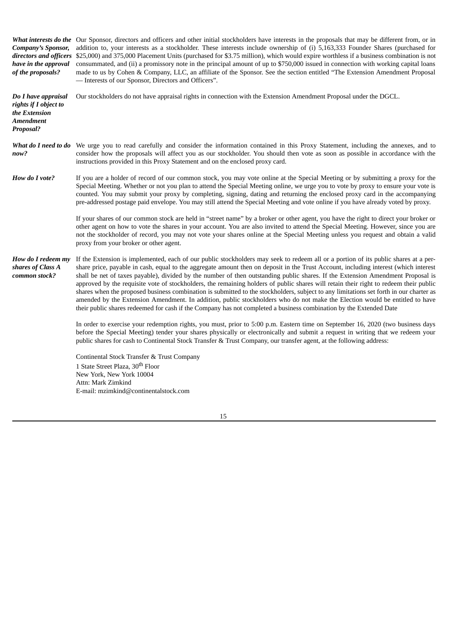What *interests* do the Our Sponsor, directors and officers and other initial stockholders have interests in the proposals that may be different from, or in *Company's Sponsor, directors and officers* \$25,000) and 375,000 Placement Units (purchased for \$3.75 million), which would expire worthless if a business combination is not *have in the approval of the proposals?* addition to, your interests as a stockholder. These interests include ownership of (i) 5,163,333 Founder Shares (purchased for consummated, and (ii) a promissory note in the principal amount of up to \$750,000 issued in connection with working capital loans made to us by Cohen & Company, LLC, an affiliate of the Sponsor. See the section entitled "The Extension Amendment Proposal — Interests of our Sponsor, Directors and Officers". *Do I have appraisal rights if I object to the Extension Amendment Proposal?* Our stockholders do not have appraisal rights in connection with the Extension Amendment Proposal under the DGCL. What do I need to do We urge you to read carefully and consider the information contained in this Proxy Statement, including the annexes, and to *now?* consider how the proposals will affect you as our stockholder. You should then vote as soon as possible in accordance with the instructions provided in this Proxy Statement and on the enclosed proxy card. *How do I vote?* If you are a holder of record of our common stock, you may vote online at the Special Meeting or by submitting a proxy for the Special Meeting. Whether or not you plan to attend the Special Meeting online, we urge you to vote by proxy to ensure your vote is counted. You may submit your proxy by completing, signing, dating and returning the enclosed proxy card in the accompanying

> If your shares of our common stock are held in "street name" by a broker or other agent, you have the right to direct your broker or other agent on how to vote the shares in your account. You are also invited to attend the Special Meeting. However, since you are not the stockholder of record, you may not vote your shares online at the Special Meeting unless you request and obtain a valid proxy from your broker or other agent.

pre-addressed postage paid envelope. You may still attend the Special Meeting and vote online if you have already voted by proxy.

*How do I redeem my shares of Class A common stock?* If the Extension is implemented, each of our public stockholders may seek to redeem all or a portion of its public shares at a pershare price, payable in cash, equal to the aggregate amount then on deposit in the Trust Account, including interest (which interest shall be net of taxes payable), divided by the number of then outstanding public shares. If the Extension Amendment Proposal is approved by the requisite vote of stockholders, the remaining holders of public shares will retain their right to redeem their public shares when the proposed business combination is submitted to the stockholders, subject to any limitations set forth in our charter as amended by the Extension Amendment. In addition, public stockholders who do not make the Election would be entitled to have their public shares redeemed for cash if the Company has not completed a business combination by the Extended Date

> In order to exercise your redemption rights, you must, prior to 5:00 p.m. Eastern time on September 16, 2020 (two business days before the Special Meeting) tender your shares physically or electronically and submit a request in writing that we redeem your public shares for cash to Continental Stock Transfer & Trust Company, our transfer agent, at the following address:

Continental Stock Transfer & Trust Company 1 State Street Plaza, 30<sup>th</sup> Floor New York, New York 10004 Attn: Mark Zimkind E-mail: mzimkind@continentalstock.com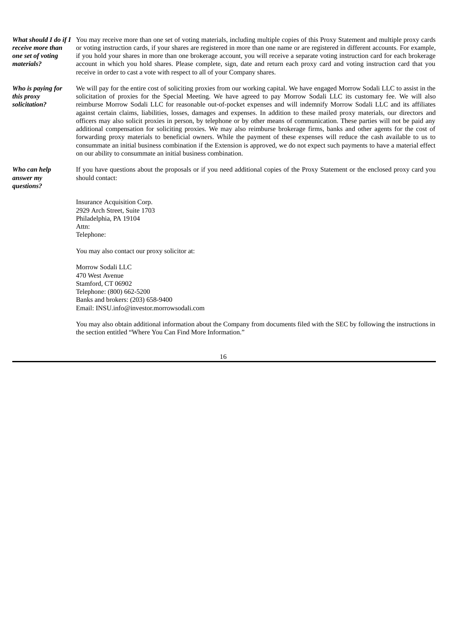| receive more than<br>one set of voting<br>materials? | What should I do if I You may receive more than one set of voting materials, including multiple copies of this Proxy Statement and multiple proxy cards<br>or voting instruction cards, if your shares are registered in more than one name or are registered in different accounts. For example,<br>if you hold your shares in more than one brokerage account, you will receive a separate voting instruction card for each brokerage<br>account in which you hold shares. Please complete, sign, date and return each proxy card and voting instruction card that you<br>receive in order to cast a vote with respect to all of your Company shares.                                                                                                                                                                                                                                                                                                                                                                                                                                                                                     |
|------------------------------------------------------|---------------------------------------------------------------------------------------------------------------------------------------------------------------------------------------------------------------------------------------------------------------------------------------------------------------------------------------------------------------------------------------------------------------------------------------------------------------------------------------------------------------------------------------------------------------------------------------------------------------------------------------------------------------------------------------------------------------------------------------------------------------------------------------------------------------------------------------------------------------------------------------------------------------------------------------------------------------------------------------------------------------------------------------------------------------------------------------------------------------------------------------------|
| Who is paying for<br>this proxy<br>solicitation?     | We will pay for the entire cost of soliciting proxies from our working capital. We have engaged Morrow Sodali LLC to assist in the<br>solicitation of proxies for the Special Meeting. We have agreed to pay Morrow Sodali LLC its customary fee. We will also<br>reimburse Morrow Sodali LLC for reasonable out-of-pocket expenses and will indemnify Morrow Sodali LLC and its affiliates<br>against certain claims, liabilities, losses, damages and expenses. In addition to these mailed proxy materials, our directors and<br>officers may also solicit proxies in person, by telephone or by other means of communication. These parties will not be paid any<br>additional compensation for soliciting proxies. We may also reimburse brokerage firms, banks and other agents for the cost of<br>forwarding proxy materials to beneficial owners. While the payment of these expenses will reduce the cash available to us to<br>consummate an initial business combination if the Extension is approved, we do not expect such payments to have a material effect<br>on our ability to consummate an initial business combination. |
| Who can help<br>answer my<br>questions?              | If you have questions about the proposals or if you need additional copies of the Proxy Statement or the enclosed proxy card you<br>should contact:                                                                                                                                                                                                                                                                                                                                                                                                                                                                                                                                                                                                                                                                                                                                                                                                                                                                                                                                                                                         |
|                                                      | Insurance Acquisition Corp.<br>2929 Arch Street, Suite 1703<br>Philadelphia, PA 19104<br>Attn:<br>Telephone:<br>You may also contact our proxy solicitor at:<br>Morrow Sodali LLC<br>470 West Avenue<br>Stamford, CT 06902<br>Telephone: (800) 662-5200<br>Banks and brokers: (203) 658-9400<br>Email: INSU.info@investor.morrowsodali.com                                                                                                                                                                                                                                                                                                                                                                                                                                                                                                                                                                                                                                                                                                                                                                                                  |

You may also obtain additional information about the Company from documents filed with the SEC by following the instructions in the section entitled "Where You Can Find More Information."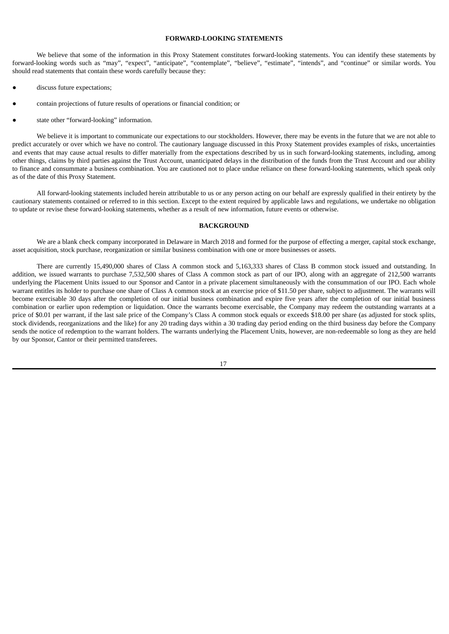## **FORWARD-LOOKING STATEMENTS**

We believe that some of the information in this Proxy Statement constitutes forward-looking statements. You can identify these statements by forward-looking words such as "may", "expect", "anticipate", "contemplate", "believe", "estimate", "intends", and "continue" or similar words. You should read statements that contain these words carefully because they:

- discuss future expectations;
- contain projections of future results of operations or financial condition; or
- state other "forward-looking" information.

We believe it is important to communicate our expectations to our stockholders. However, there may be events in the future that we are not able to predict accurately or over which we have no control. The cautionary language discussed in this Proxy Statement provides examples of risks, uncertainties and events that may cause actual results to differ materially from the expectations described by us in such forward-looking statements, including, among other things, claims by third parties against the Trust Account, unanticipated delays in the distribution of the funds from the Trust Account and our ability to finance and consummate a business combination. You are cautioned not to place undue reliance on these forward-looking statements, which speak only as of the date of this Proxy Statement.

All forward-looking statements included herein attributable to us or any person acting on our behalf are expressly qualified in their entirety by the cautionary statements contained or referred to in this section. Except to the extent required by applicable laws and regulations, we undertake no obligation to update or revise these forward-looking statements, whether as a result of new information, future events or otherwise.

#### **BACKGROUND**

We are a blank check company incorporated in Delaware in March 2018 and formed for the purpose of effecting a merger, capital stock exchange, asset acquisition, stock purchase, reorganization or similar business combination with one or more businesses or assets.

There are currently 15,490,000 shares of Class A common stock and 5,163,333 shares of Class B common stock issued and outstanding. In addition, we issued warrants to purchase 7,532,500 shares of Class A common stock as part of our IPO, along with an aggregate of 212,500 warrants underlying the Placement Units issued to our Sponsor and Cantor in a private placement simultaneously with the consummation of our IPO. Each whole warrant entitles its holder to purchase one share of Class A common stock at an exercise price of \$11.50 per share, subject to adjustment. The warrants will become exercisable 30 days after the completion of our initial business combination and expire five years after the completion of our initial business combination or earlier upon redemption or liquidation. Once the warrants become exercisable, the Company may redeem the outstanding warrants at a price of \$0.01 per warrant, if the last sale price of the Company's Class A common stock equals or exceeds \$18.00 per share (as adjusted for stock splits, stock dividends, reorganizations and the like) for any 20 trading days within a 30 trading day period ending on the third business day before the Company sends the notice of redemption to the warrant holders. The warrants underlying the Placement Units, however, are non-redeemable so long as they are held by our Sponsor, Cantor or their permitted transferees.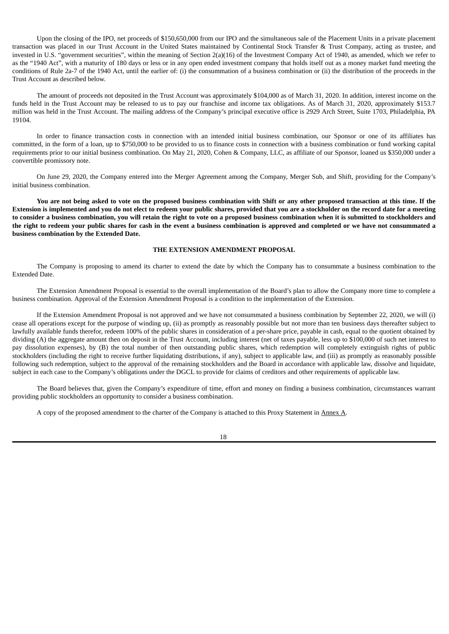Upon the closing of the IPO, net proceeds of \$150,650,000 from our IPO and the simultaneous sale of the Placement Units in a private placement transaction was placed in our Trust Account in the United States maintained by Continental Stock Transfer & Trust Company, acting as trustee, and invested in U.S. "government securities", within the meaning of Section 2(a)(16) of the Investment Company Act of 1940, as amended, which we refer to as the "1940 Act", with a maturity of 180 days or less or in any open ended investment company that holds itself out as a money market fund meeting the conditions of Rule 2a-7 of the 1940 Act, until the earlier of: (i) the consummation of a business combination or (ii) the distribution of the proceeds in the Trust Account as described below.

The amount of proceeds not deposited in the Trust Account was approximately \$104,000 as of March 31, 2020. In addition, interest income on the funds held in the Trust Account may be released to us to pay our franchise and income tax obligations. As of March 31, 2020, approximately \$153.7 million was held in the Trust Account. The mailing address of the Company's principal executive office is 2929 Arch Street, Suite 1703, Philadelphia, PA 19104.

In order to finance transaction costs in connection with an intended initial business combination, our Sponsor or one of its affiliates has committed, in the form of a loan, up to \$750,000 to be provided to us to finance costs in connection with a business combination or fund working capital requirements prior to our initial business combination. On May 21, 2020, Cohen & Company, LLC, as affiliate of our Sponsor, loaned us \$350,000 under a convertible promissory note.

On June 29, 2020, the Company entered into the Merger Agreement among the Company, Merger Sub, and Shift, providing for the Company's initial business combination.

You are not being asked to vote on the proposed business combination with Shift or any other proposed transaction at this time. If the Extension is implemented and you do not elect to redeem your public shares, provided that you are a stockholder on the record date for a meeting to consider a business combination, you will retain the right to vote on a proposed business combination when it is submitted to stockholders and the right to redeem your public shares for cash in the event a business combination is approved and completed or we have not consummated a **business combination by the Extended Date.**

#### **THE EXTENSION AMENDMENT PROPOSAL**

The Company is proposing to amend its charter to extend the date by which the Company has to consummate a business combination to the Extended Date.

The Extension Amendment Proposal is essential to the overall implementation of the Board's plan to allow the Company more time to complete a business combination. Approval of the Extension Amendment Proposal is a condition to the implementation of the Extension.

If the Extension Amendment Proposal is not approved and we have not consummated a business combination by September 22, 2020, we will (i) cease all operations except for the purpose of winding up, (ii) as promptly as reasonably possible but not more than ten business days thereafter subject to lawfully available funds therefor, redeem 100% of the public shares in consideration of a per-share price, payable in cash, equal to the quotient obtained by dividing (A) the aggregate amount then on deposit in the Trust Account, including interest (net of taxes payable, less up to \$100,000 of such net interest to pay dissolution expenses), by (B) the total number of then outstanding public shares, which redemption will completely extinguish rights of public stockholders (including the right to receive further liquidating distributions, if any), subject to applicable law, and (iii) as promptly as reasonably possible following such redemption, subject to the approval of the remaining stockholders and the Board in accordance with applicable law, dissolve and liquidate, subject in each case to the Company's obligations under the DGCL to provide for claims of creditors and other requirements of applicable law.

The Board believes that, given the Company's expenditure of time, effort and money on finding a business combination, circumstances warrant providing public stockholders an opportunity to consider a business combination.

A copy of the proposed amendment to the charter of the Company is attached to this Proxy Statement in Annex A.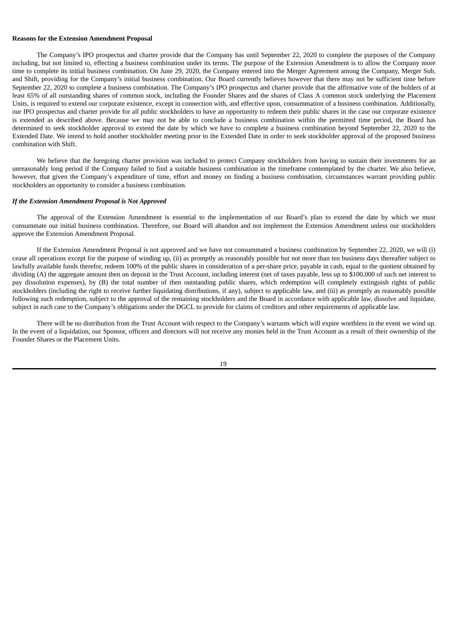#### **Reasons for the Extension Amendment Proposal**

The Company's IPO prospectus and charter provide that the Company has until September 22, 2020 to complete the purposes of the Company including, but not limited to, effecting a business combination under its terms. The purpose of the Extension Amendment is to allow the Company more time to complete its initial business combination. On June 29, 2020, the Company entered into the Merger Agreement among the Company, Merger Sub, and Shift, providing for the Company's initial business combination. Our Board currently believes however that there may not be sufficient time before September 22, 2020 to complete a business combination. The Company's IPO prospectus and charter provide that the affirmative vote of the holders of at least 65% of all outstanding shares of common stock, including the Founder Shares and the shares of Class A common stock underlying the Placement Units, is required to extend our corporate existence, except in connection with, and effective upon, consummation of a business combination. Additionally, our IPO prospectus and charter provide for all public stockholders to have an opportunity to redeem their public shares in the case our corporate existence is extended as described above. Because we may not be able to conclude a business combination within the permitted time period, the Board has determined to seek stockholder approval to extend the date by which we have to complete a business combination beyond September 22, 2020 to the Extended Date. We intend to hold another stockholder meeting prior to the Extended Date in order to seek stockholder approval of the proposed business combination with Shift.

We believe that the foregoing charter provision was included to protect Company stockholders from having to sustain their investments for an unreasonably long period if the Company failed to find a suitable business combination in the timeframe contemplated by the charter. We also believe, however, that given the Company's expenditure of time, effort and money on finding a business combination, circumstances warrant providing public stockholders an opportunity to consider a business combination.

#### *If the Extension Amendment Proposal is Not Approved*

The approval of the Extension Amendment is essential to the implementation of our Board's plan to extend the date by which we must consummate our initial business combination. Therefore, our Board will abandon and not implement the Extension Amendment unless our stockholders approve the Extension Amendment Proposal.

If the Extension Amendment Proposal is not approved and we have not consummated a business combination by September 22, 2020, we will (i) cease all operations except for the purpose of winding up, (ii) as promptly as reasonably possible but not more than ten business days thereafter subject to lawfully available funds therefor, redeem 100% of the public shares in consideration of a per-share price, payable in cash, equal to the quotient obtained by dividing (A) the aggregate amount then on deposit in the Trust Account, including interest (net of taxes payable, less up to \$100,000 of such net interest to pay dissolution expenses), by (B) the total number of then outstanding public shares, which redemption will completely extinguish rights of public stockholders (including the right to receive further liquidating distributions, if any), subject to applicable law, and (iii) as promptly as reasonably possible following such redemption, subject to the approval of the remaining stockholders and the Board in accordance with applicable law, dissolve and liquidate, subject in each case to the Company's obligations under the DGCL to provide for claims of creditors and other requirements of applicable law.

There will be no distribution from the Trust Account with respect to the Company's warrants which will expire worthless in the event we wind up. In the event of a liquidation, our Sponsor, officers and directors will not receive any monies held in the Trust Account as a result of their ownership of the Founder Shares or the Placement Units.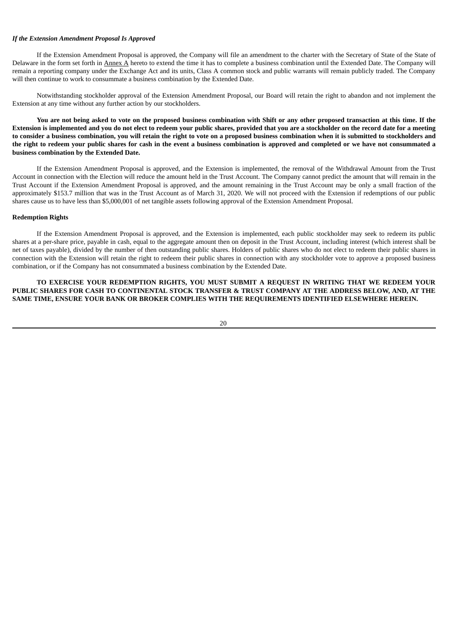#### *If the Extension Amendment Proposal Is Approved*

If the Extension Amendment Proposal is approved, the Company will file an amendment to the charter with the Secretary of State of the State of Delaware in the form set forth in Annex A hereto to extend the time it has to complete a business combination until the Extended Date. The Company will remain a reporting company under the Exchange Act and its units, Class A common stock and public warrants will remain publicly traded. The Company will then continue to work to consummate a business combination by the Extended Date.

Notwithstanding stockholder approval of the Extension Amendment Proposal, our Board will retain the right to abandon and not implement the Extension at any time without any further action by our stockholders.

You are not being asked to vote on the proposed business combination with Shift or any other proposed transaction at this time. If the Extension is implemented and you do not elect to redeem your public shares, provided that you are a stockholder on the record date for a meeting to consider a business combination, you will retain the right to vote on a proposed business combination when it is submitted to stockholders and the right to redeem your public shares for cash in the event a business combination is approved and completed or we have not consummated a **business combination by the Extended Date.**

If the Extension Amendment Proposal is approved, and the Extension is implemented, the removal of the Withdrawal Amount from the Trust Account in connection with the Election will reduce the amount held in the Trust Account. The Company cannot predict the amount that will remain in the Trust Account if the Extension Amendment Proposal is approved, and the amount remaining in the Trust Account may be only a small fraction of the approximately \$153.7 million that was in the Trust Account as of March 31, 2020. We will not proceed with the Extension if redemptions of our public shares cause us to have less than \$5,000,001 of net tangible assets following approval of the Extension Amendment Proposal.

#### **Redemption Rights**

If the Extension Amendment Proposal is approved, and the Extension is implemented, each public stockholder may seek to redeem its public shares at a per-share price, payable in cash, equal to the aggregate amount then on deposit in the Trust Account, including interest (which interest shall be net of taxes payable), divided by the number of then outstanding public shares. Holders of public shares who do not elect to redeem their public shares in connection with the Extension will retain the right to redeem their public shares in connection with any stockholder vote to approve a proposed business combination, or if the Company has not consummated a business combination by the Extended Date.

**TO EXERCISE YOUR REDEMPTION RIGHTS, YOU MUST SUBMIT A REQUEST IN WRITING THAT WE REDEEM YOUR** PUBLIC SHARES FOR CASH TO CONTINENTAL STOCK TRANSFER & TRUST COMPANY AT THE ADDRESS BELOW, AND, AT THE **SAME TIME, ENSURE YOUR BANK OR BROKER COMPLIES WITH THE REQUIREMENTS IDENTIFIED ELSEWHERE HEREIN.**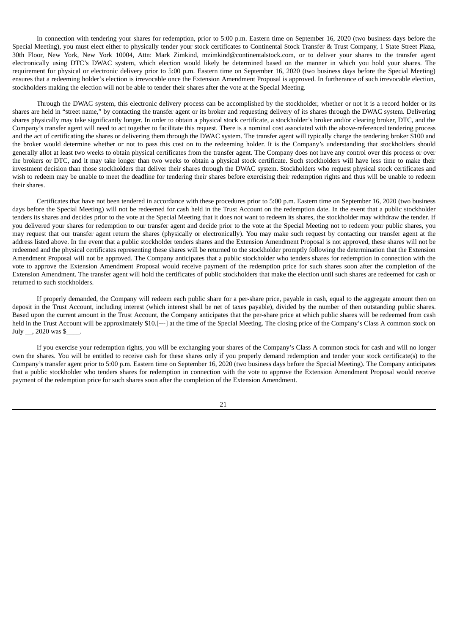In connection with tendering your shares for redemption, prior to 5:00 p.m. Eastern time on September 16, 2020 (two business days before the Special Meeting), you must elect either to physically tender your stock certificates to Continental Stock Transfer & Trust Company, 1 State Street Plaza, 30th Floor, New York, New York 10004, Attn: Mark Zimkind, mzimkind@continentalstock.com, or to deliver your shares to the transfer agent electronically using DTC's DWAC system, which election would likely be determined based on the manner in which you hold your shares. The requirement for physical or electronic delivery prior to 5:00 p.m. Eastern time on September 16, 2020 (two business days before the Special Meeting) ensures that a redeeming holder's election is irrevocable once the Extension Amendment Proposal is approved. In furtherance of such irrevocable election, stockholders making the election will not be able to tender their shares after the vote at the Special Meeting.

Through the DWAC system, this electronic delivery process can be accomplished by the stockholder, whether or not it is a record holder or its shares are held in "street name," by contacting the transfer agent or its broker and requesting delivery of its shares through the DWAC system. Delivering shares physically may take significantly longer. In order to obtain a physical stock certificate, a stockholder's broker and/or clearing broker, DTC, and the Company's transfer agent will need to act together to facilitate this request. There is a nominal cost associated with the above-referenced tendering process and the act of certificating the shares or delivering them through the DWAC system. The transfer agent will typically charge the tendering broker \$100 and the broker would determine whether or not to pass this cost on to the redeeming holder. It is the Company's understanding that stockholders should generally allot at least two weeks to obtain physical certificates from the transfer agent. The Company does not have any control over this process or over the brokers or DTC, and it may take longer than two weeks to obtain a physical stock certificate. Such stockholders will have less time to make their investment decision than those stockholders that deliver their shares through the DWAC system. Stockholders who request physical stock certificates and wish to redeem may be unable to meet the deadline for tendering their shares before exercising their redemption rights and thus will be unable to redeem their shares.

Certificates that have not been tendered in accordance with these procedures prior to 5:00 p.m. Eastern time on September 16, 2020 (two business days before the Special Meeting) will not be redeemed for cash held in the Trust Account on the redemption date. In the event that a public stockholder tenders its shares and decides prior to the vote at the Special Meeting that it does not want to redeem its shares, the stockholder may withdraw the tender. If you delivered your shares for redemption to our transfer agent and decide prior to the vote at the Special Meeting not to redeem your public shares, you may request that our transfer agent return the shares (physically or electronically). You may make such request by contacting our transfer agent at the address listed above. In the event that a public stockholder tenders shares and the Extension Amendment Proposal is not approved, these shares will not be redeemed and the physical certificates representing these shares will be returned to the stockholder promptly following the determination that the Extension Amendment Proposal will not be approved. The Company anticipates that a public stockholder who tenders shares for redemption in connection with the vote to approve the Extension Amendment Proposal would receive payment of the redemption price for such shares soon after the completion of the Extension Amendment. The transfer agent will hold the certificates of public stockholders that make the election until such shares are redeemed for cash or returned to such stockholders.

If properly demanded, the Company will redeem each public share for a per-share price, payable in cash, equal to the aggregate amount then on deposit in the Trust Account, including interest (which interest shall be net of taxes payable), divided by the number of then outstanding public shares. Based upon the current amount in the Trust Account, the Company anticipates that the per-share price at which public shares will be redeemed from cash held in the Trust Account will be approximately \$10.<sup>[-1-]</sup> at the time of the Special Meeting. The closing price of the Company's Class A common stock on July \_\_, 2020 was \$\_\_\_\_.

If you exercise your redemption rights, you will be exchanging your shares of the Company's Class A common stock for cash and will no longer own the shares. You will be entitled to receive cash for these shares only if you properly demand redemption and tender your stock certificate(s) to the Company's transfer agent prior to 5:00 p.m. Eastern time on September 16, 2020 (two business days before the Special Meeting). The Company anticipates that a public stockholder who tenders shares for redemption in connection with the vote to approve the Extension Amendment Proposal would receive payment of the redemption price for such shares soon after the completion of the Extension Amendment.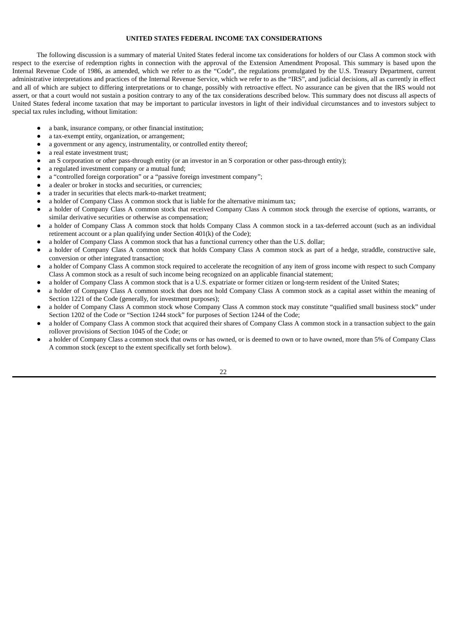## **UNITED STATES FEDERAL INCOME TAX CONSIDERATIONS**

The following discussion is a summary of material United States federal income tax considerations for holders of our Class A common stock with respect to the exercise of redemption rights in connection with the approval of the Extension Amendment Proposal. This summary is based upon the Internal Revenue Code of 1986, as amended, which we refer to as the "Code", the regulations promulgated by the U.S. Treasury Department, current administrative interpretations and practices of the Internal Revenue Service, which we refer to as the "IRS", and judicial decisions, all as currently in effect and all of which are subject to differing interpretations or to change, possibly with retroactive effect. No assurance can be given that the IRS would not assert, or that a court would not sustain a position contrary to any of the tax considerations described below. This summary does not discuss all aspects of United States federal income taxation that may be important to particular investors in light of their individual circumstances and to investors subject to special tax rules including, without limitation:

- a bank, insurance company, or other financial institution;
- a tax-exempt entity, organization, or arrangement;
- a government or any agency, instrumentality, or controlled entity thereof;
- a real estate investment trust;
- an S corporation or other pass-through entity (or an investor in an S corporation or other pass-through entity);
- a regulated investment company or a mutual fund;
- a "controlled foreign corporation" or a "passive foreign investment company";
- a dealer or broker in stocks and securities, or currencies;
- a trader in securities that elects mark-to-market treatment;
- a holder of Company Class A common stock that is liable for the alternative minimum tax;
- a holder of Company Class A common stock that received Company Class A common stock through the exercise of options, warrants, or similar derivative securities or otherwise as compensation;
- a holder of Company Class A common stock that holds Company Class A common stock in a tax-deferred account (such as an individual retirement account or a plan qualifying under Section 401(k) of the Code);
- a holder of Company Class A common stock that has a functional currency other than the U.S. dollar;
- a holder of Company Class A common stock that holds Company Class A common stock as part of a hedge, straddle, constructive sale, conversion or other integrated transaction;
- a holder of Company Class A common stock required to accelerate the recognition of any item of gross income with respect to such Company Class A common stock as a result of such income being recognized on an applicable financial statement;
- a holder of Company Class A common stock that is a U.S. expatriate or former citizen or long-term resident of the United States;
- a holder of Company Class A common stock that does not hold Company Class A common stock as a capital asset within the meaning of Section 1221 of the Code (generally, for investment purposes);
- a holder of Company Class A common stock whose Company Class A common stock may constitute "qualified small business stock" under Section 1202 of the Code or "Section 1244 stock" for purposes of Section 1244 of the Code;
- a holder of Company Class A common stock that acquired their shares of Company Class A common stock in a transaction subject to the gain rollover provisions of Section 1045 of the Code; or
- a holder of Company Class a common stock that owns or has owned, or is deemed to own or to have owned, more than 5% of Company Class A common stock (except to the extent specifically set forth below).

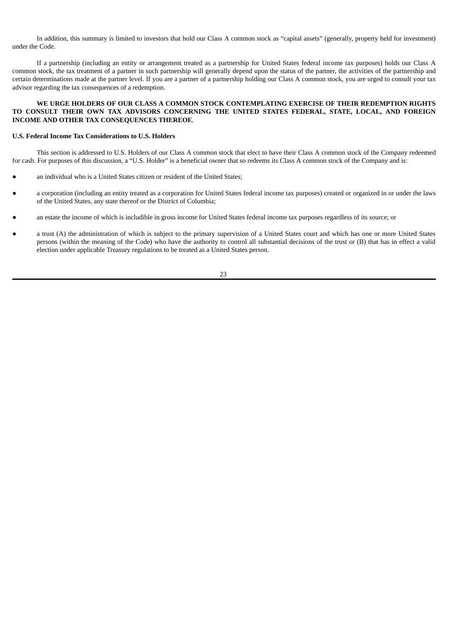In addition, this summary is limited to investors that hold our Class A common stock as "capital assets" (generally, property held for investment) under the Code.

If a partnership (including an entity or arrangement treated as a partnership for United States federal income tax purposes) holds our Class A common stock, the tax treatment of a partner in such partnership will generally depend upon the status of the partner, the activities of the partnership and certain determinations made at the partner level. If you are a partner of a partnership holding our Class A common stock, you are urged to consult your tax advisor regarding the tax consequences of a redemption.

## **WE URGE HOLDERS OF OUR CLASS A COMMON STOCK CONTEMPLATING EXERCISE OF THEIR REDEMPTION RIGHTS TO CONSULT THEIR OWN TAX ADVISORS CONCERNING THE UNITED STATES FEDERAL, STATE, LOCAL, AND FOREIGN INCOME AND OTHER TAX CONSEQUENCES THEREOF.**

## **U.S. Federal Income Tax Considerations to U.S. Holders**

This section is addressed to U.S. Holders of our Class A common stock that elect to have their Class A common stock of the Company redeemed for cash. For purposes of this discussion, a "U.S. Holder" is a beneficial owner that so redeems its Class A common stock of the Company and is:

- an individual who is a United States citizen or resident of the United States;
- a corporation (including an entity treated as a corporation for United States federal income tax purposes) created or organized in or under the laws of the United States, any state thereof or the District of Columbia;
- an estate the income of which is includible in gross income for United States federal income tax purposes regardless of its source; or
- a trust (A) the administration of which is subject to the primary supervision of a United States court and which has one or more United States persons (within the meaning of the Code) who have the authority to control all substantial decisions of the trust or (B) that has in effect a valid election under applicable Treasury regulations to be treated as a United States person.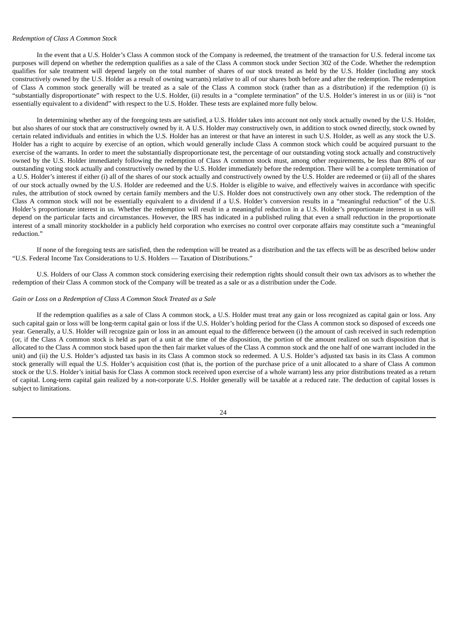#### *Redemption of Class A Common Stock*

In the event that a U.S. Holder's Class A common stock of the Company is redeemed, the treatment of the transaction for U.S. federal income tax purposes will depend on whether the redemption qualifies as a sale of the Class A common stock under Section 302 of the Code. Whether the redemption qualifies for sale treatment will depend largely on the total number of shares of our stock treated as held by the U.S. Holder (including any stock constructively owned by the U.S. Holder as a result of owning warrants) relative to all of our shares both before and after the redemption. The redemption of Class A common stock generally will be treated as a sale of the Class A common stock (rather than as a distribution) if the redemption (i) is "substantially disproportionate" with respect to the U.S. Holder, (ii) results in a "complete termination" of the U.S. Holder's interest in us or (iii) is "not essentially equivalent to a dividend" with respect to the U.S. Holder. These tests are explained more fully below.

In determining whether any of the foregoing tests are satisfied, a U.S. Holder takes into account not only stock actually owned by the U.S. Holder, but also shares of our stock that are constructively owned by it. A U.S. Holder may constructively own, in addition to stock owned directly, stock owned by certain related individuals and entities in which the U.S. Holder has an interest or that have an interest in such U.S. Holder, as well as any stock the U.S. Holder has a right to acquire by exercise of an option, which would generally include Class A common stock which could be acquired pursuant to the exercise of the warrants. In order to meet the substantially disproportionate test, the percentage of our outstanding voting stock actually and constructively owned by the U.S. Holder immediately following the redemption of Class A common stock must, among other requirements, be less than 80% of our outstanding voting stock actually and constructively owned by the U.S. Holder immediately before the redemption. There will be a complete termination of a U.S. Holder's interest if either (i) all of the shares of our stock actually and constructively owned by the U.S. Holder are redeemed or (ii) all of the shares of our stock actually owned by the U.S. Holder are redeemed and the U.S. Holder is eligible to waive, and effectively waives in accordance with specific rules, the attribution of stock owned by certain family members and the U.S. Holder does not constructively own any other stock. The redemption of the Class A common stock will not be essentially equivalent to a dividend if a U.S. Holder's conversion results in a "meaningful reduction" of the U.S. Holder's proportionate interest in us. Whether the redemption will result in a meaningful reduction in a U.S. Holder's proportionate interest in us will depend on the particular facts and circumstances. However, the IRS has indicated in a published ruling that even a small reduction in the proportionate interest of a small minority stockholder in a publicly held corporation who exercises no control over corporate affairs may constitute such a "meaningful reduction."

If none of the foregoing tests are satisfied, then the redemption will be treated as a distribution and the tax effects will be as described below under "U.S. Federal Income Tax Considerations to U.S. Holders — Taxation of Distributions."

U.S. Holders of our Class A common stock considering exercising their redemption rights should consult their own tax advisors as to whether the redemption of their Class A common stock of the Company will be treated as a sale or as a distribution under the Code.

#### *Gain or Loss on a Redemption of Class A Common Stock Treated as a Sale*

If the redemption qualifies as a sale of Class A common stock, a U.S. Holder must treat any gain or loss recognized as capital gain or loss. Any such capital gain or loss will be long-term capital gain or loss if the U.S. Holder's holding period for the Class A common stock so disposed of exceeds one year. Generally, a U.S. Holder will recognize gain or loss in an amount equal to the difference between (i) the amount of cash received in such redemption (or, if the Class A common stock is held as part of a unit at the time of the disposition, the portion of the amount realized on such disposition that is allocated to the Class A common stock based upon the then fair market values of the Class A common stock and the one half of one warrant included in the unit) and (ii) the U.S. Holder's adjusted tax basis in its Class A common stock so redeemed. A U.S. Holder's adjusted tax basis in its Class A common stock generally will equal the U.S. Holder's acquisition cost (that is, the portion of the purchase price of a unit allocated to a share of Class A common stock or the U.S. Holder's initial basis for Class A common stock received upon exercise of a whole warrant) less any prior distributions treated as a return of capital. Long-term capital gain realized by a non-corporate U.S. Holder generally will be taxable at a reduced rate. The deduction of capital losses is subject to limitations.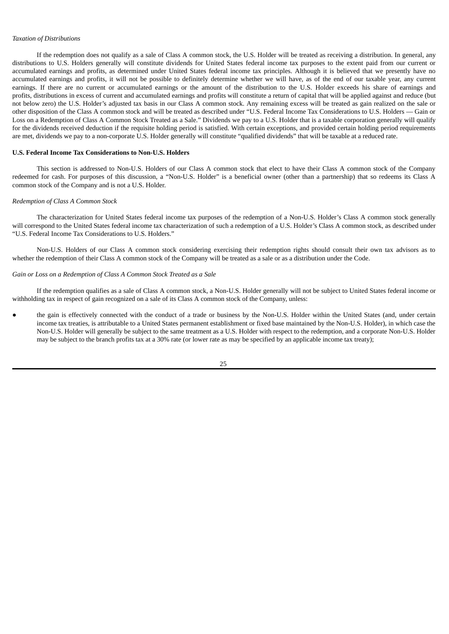#### *Taxation of Distributions*

If the redemption does not qualify as a sale of Class A common stock, the U.S. Holder will be treated as receiving a distribution. In general, any distributions to U.S. Holders generally will constitute dividends for United States federal income tax purposes to the extent paid from our current or accumulated earnings and profits, as determined under United States federal income tax principles. Although it is believed that we presently have no accumulated earnings and profits, it will not be possible to definitely determine whether we will have, as of the end of our taxable year, any current earnings. If there are no current or accumulated earnings or the amount of the distribution to the U.S. Holder exceeds his share of earnings and profits, distributions in excess of current and accumulated earnings and profits will constitute a return of capital that will be applied against and reduce (but not below zero) the U.S. Holder's adjusted tax basis in our Class A common stock. Any remaining excess will be treated as gain realized on the sale or other disposition of the Class A common stock and will be treated as described under "U.S. Federal Income Tax Considerations to U.S. Holders — Gain or Loss on a Redemption of Class A Common Stock Treated as a Sale." Dividends we pay to a U.S. Holder that is a taxable corporation generally will qualify for the dividends received deduction if the requisite holding period is satisfied. With certain exceptions, and provided certain holding period requirements are met, dividends we pay to a non-corporate U.S. Holder generally will constitute "qualified dividends" that will be taxable at a reduced rate.

#### **U.S. Federal Income Tax Considerations to Non-U.S. Holders**

This section is addressed to Non-U.S. Holders of our Class A common stock that elect to have their Class A common stock of the Company redeemed for cash. For purposes of this discussion, a "Non-U.S. Holder" is a beneficial owner (other than a partnership) that so redeems its Class A common stock of the Company and is not a U.S. Holder.

#### *Redemption of Class A Common Stock*

The characterization for United States federal income tax purposes of the redemption of a Non-U.S. Holder's Class A common stock generally will correspond to the United States federal income tax characterization of such a redemption of a U.S. Holder's Class A common stock, as described under "U.S. Federal Income Tax Considerations to U.S. Holders."

Non-U.S. Holders of our Class A common stock considering exercising their redemption rights should consult their own tax advisors as to whether the redemption of their Class A common stock of the Company will be treated as a sale or as a distribution under the Code.

#### *Gain or Loss on a Redemption of Class A Common Stock Treated as a Sale*

If the redemption qualifies as a sale of Class A common stock, a Non-U.S. Holder generally will not be subject to United States federal income or withholding tax in respect of gain recognized on a sale of its Class A common stock of the Company, unless:

the gain is effectively connected with the conduct of a trade or business by the Non-U.S. Holder within the United States (and, under certain income tax treaties, is attributable to a United States permanent establishment or fixed base maintained by the Non-U.S. Holder), in which case the Non-U.S. Holder will generally be subject to the same treatment as a U.S. Holder with respect to the redemption, and a corporate Non-U.S. Holder may be subject to the branch profits tax at a 30% rate (or lower rate as may be specified by an applicable income tax treaty);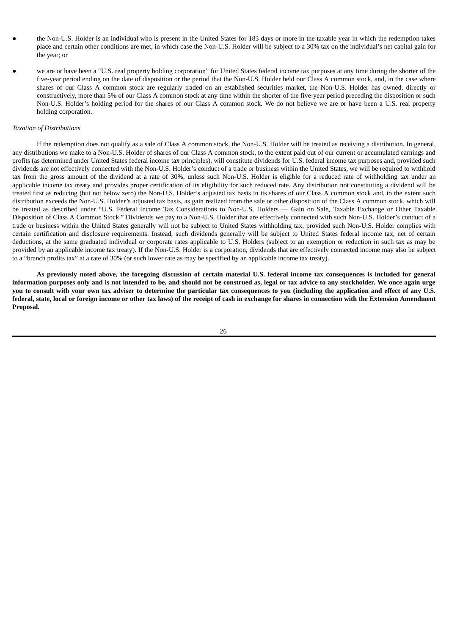- the Non-U.S. Holder is an individual who is present in the United States for 183 days or more in the taxable year in which the redemption takes place and certain other conditions are met, in which case the Non-U.S. Holder will be subject to a 30% tax on the individual's net capital gain for the year; or
- we are or have been a "U.S. real property holding corporation" for United States federal income tax purposes at any time during the shorter of the five-year period ending on the date of disposition or the period that the Non-U.S. Holder held our Class A common stock, and, in the case where shares of our Class A common stock are regularly traded on an established securities market, the Non-U.S. Holder has owned, directly or constructively, more than 5% of our Class A common stock at any time within the shorter of the five-year period preceding the disposition or such Non-U.S. Holder's holding period for the shares of our Class A common stock. We do not believe we are or have been a U.S. real property holding corporation.

#### *Taxation of Distributions*

If the redemption does not qualify as a sale of Class A common stock, the Non-U.S. Holder will be treated as receiving a distribution. In general, any distributions we make to a Non-U.S. Holder of shares of our Class A common stock, to the extent paid out of our current or accumulated earnings and profits (as determined under United States federal income tax principles), will constitute dividends for U.S. federal income tax purposes and, provided such dividends are not effectively connected with the Non-U.S. Holder's conduct of a trade or business within the United States, we will be required to withhold tax from the gross amount of the dividend at a rate of 30%, unless such Non-U.S. Holder is eligible for a reduced rate of withholding tax under an applicable income tax treaty and provides proper certification of its eligibility for such reduced rate. Any distribution not constituting a dividend will be treated first as reducing (but not below zero) the Non-U.S. Holder's adjusted tax basis in its shares of our Class A common stock and, to the extent such distribution exceeds the Non-U.S. Holder's adjusted tax basis, as gain realized from the sale or other disposition of the Class A common stock, which will be treated as described under "U.S. Federal Income Tax Considerations to Non-U.S. Holders — Gain on Sale, Taxable Exchange or Other Taxable Disposition of Class A Common Stock." Dividends we pay to a Non-U.S. Holder that are effectively connected with such Non-U.S. Holder's conduct of a trade or business within the United States generally will not be subject to United States withholding tax, provided such Non-U.S. Holder complies with certain certification and disclosure requirements. Instead, such dividends generally will be subject to United States federal income tax, net of certain deductions, at the same graduated individual or corporate rates applicable to U.S. Holders (subject to an exemption or reduction in such tax as may be provided by an applicable income tax treaty). If the Non-U.S. Holder is a corporation, dividends that are effectively connected income may also be subject to a "branch profits tax" at a rate of 30% (or such lower rate as may be specified by an applicable income tax treaty).

As previously noted above, the foregoing discussion of certain material U.S. federal income tax consequences is included for general information purposes only and is not intended to be, and should not be construed as, legal or tax advice to any stockholder. We once again urge you to consult with your own tax adviser to determine the particular tax consequences to you (including the application and effect of any U.S. federal, state, local or foreign income or other tax laws) of the receipt of cash in exchange for shares in connection with the Extension Amendment **Proposal.**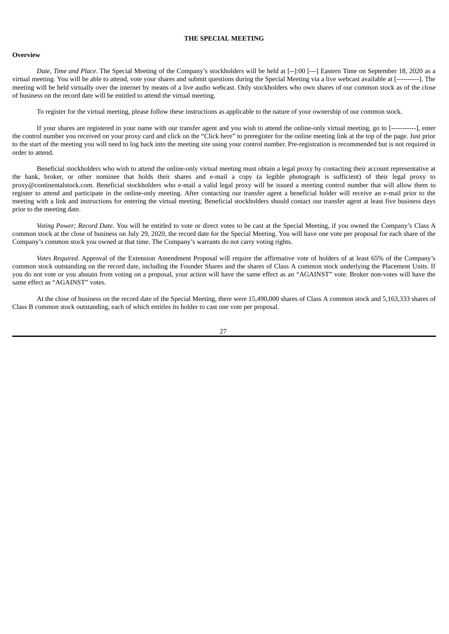## **THE SPECIAL MEETING**

#### **Overview**

*Date, Time and Place*. The Special Meeting of the Company's stockholders will be held at [--]:00 [---] Eastern Time on September 18, 2020 as a virtual meeting. You will be able to attend, vote your shares and submit questions during the Special Meeting via a live webcast available at [----------]. The meeting will be held virtually over the internet by means of a live audio webcast. Only stockholders who own shares of our common stock as of the close of business on the record date will be entitled to attend the virtual meeting.

To register for the virtual meeting, please follow these instructions as applicable to the nature of your ownership of our common stock.

If your shares are registered in your name with our transfer agent and you wish to attend the online-only virtual meeting, go to [-----------], enter the control number you received on your proxy card and click on the "Click here" to preregister for the online meeting link at the top of the page. Just prior to the start of the meeting you will need to log back into the meeting site using your control number. Pre-registration is recommended but is not required in order to attend.

Beneficial stockholders who wish to attend the online-only virtual meeting must obtain a legal proxy by contacting their account representative at the bank, broker, or other nominee that holds their shares and e-mail a copy (a legible photograph is sufficient) of their legal proxy to proxy@continentalstock.com. Beneficial stockholders who e-mail a valid legal proxy will be issued a meeting control number that will allow them to register to attend and participate in the online-only meeting. After contacting our transfer agent a beneficial holder will receive an e-mail prior to the meeting with a link and instructions for entering the virtual meeting. Beneficial stockholders should contact our transfer agent at least five business days prior to the meeting date.

*Voting Power; Record Date*. You will be entitled to vote or direct votes to be cast at the Special Meeting, if you owned the Company's Class A common stock at the close of business on July 29, 2020, the record date for the Special Meeting. You will have one vote per proposal for each share of the Company's common stock you owned at that time. The Company's warrants do not carry voting rights.

*Votes Required*. Approval of the Extension Amendment Proposal will require the affirmative vote of holders of at least 65% of the Company's common stock outstanding on the record date, including the Founder Shares and the shares of Class A common stock underlying the Placement Units. If you do not vote or you abstain from voting on a proposal, your action will have the same effect as an "AGAINST" vote. Broker non-votes will have the same effect as "AGAINST" votes.

At the close of business on the record date of the Special Meeting, there were 15,490,000 shares of Class A common stock and 5,163,333 shares of Class B common stock outstanding, each of which entitles its holder to cast one vote per proposal.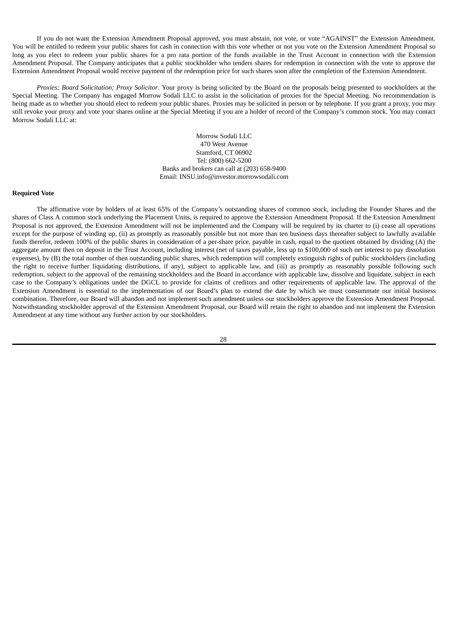If you do not want the Extension Amendment Proposal approved, you must abstain, not vote, or vote "AGAINST" the Extension Amendment. You will be entitled to redeem your public shares for cash in connection with this vote whether or not you vote on the Extension Amendment Proposal so long as you elect to redeem your public shares for a pro rata portion of the funds available in the Trust Account in connection with the Extension Amendment Proposal. The Company anticipates that a public stockholder who tenders shares for redemption in connection with the vote to approve the Extension Amendment Proposal would receive payment of the redemption price for such shares soon after the completion of the Extension Amendment.

*Proxies; Board Solicitation; Proxy Solicitor*. Your proxy is being solicited by the Board on the proposals being presented to stockholders at the Special Meeting. The Company has engaged Morrow Sodali LLC to assist in the solicitation of proxies for the Special Meeting. No recommendation is being made as to whether you should elect to redeem your public shares. Proxies may be solicited in person or by telephone. If you grant a proxy, you may still revoke your proxy and vote your shares online at the Special Meeting if you are a holder of record of the Company's common stock. You may contact Morrow Sodali LLC at:

> Morrow Sodali LLC 470 West Avenue Stamford, CT 06902 Tel: (800) 662-5200 Banks and brokers can call at (203) 658-9400 Email: INSU.info@investor.morrowsodali.com

#### **Required Vote**

The affirmative vote by holders of at least 65% of the Company's outstanding shares of common stock, including the Founder Shares and the shares of Class A common stock underlying the Placement Units, is required to approve the Extension Amendment Proposal. If the Extension Amendment Proposal is not approved, the Extension Amendment will not be implemented and the Company will be required by its charter to (i) cease all operations except for the purpose of winding up, (ii) as promptly as reasonably possible but not more than ten business days thereafter subject to lawfully available funds therefor, redeem 100% of the public shares in consideration of a per-share price, payable in cash, equal to the quotient obtained by dividing (A) the aggregate amount then on deposit in the Trust Account, including interest (net of taxes payable, less up to \$100,000 of such net interest to pay dissolution expenses), by (B) the total number of then outstanding public shares, which redemption will completely extinguish rights of public stockholders (including the right to receive further liquidating distributions, if any), subject to applicable law, and (iii) as promptly as reasonably possible following such redemption, subject to the approval of the remaining stockholders and the Board in accordance with applicable law, dissolve and liquidate, subject in each case to the Company's obligations under the DGCL to provide for claims of creditors and other requirements of applicable law. The approval of the Extension Amendment is essential to the implementation of our Board's plan to extend the date by which we must consummate our initial business combination. Therefore, our Board will abandon and not implement such amendment unless our stockholders approve the Extension Amendment Proposal. Notwithstanding stockholder approval of the Extension Amendment Proposal, our Board will retain the right to abandon and not implement the Extension Amendment at any time without any further action by our stockholders.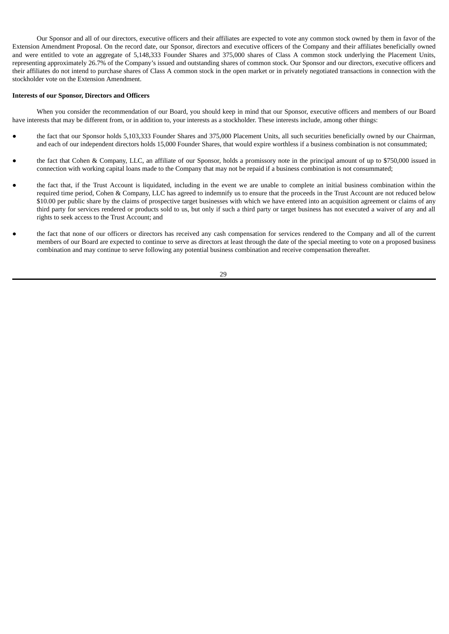Our Sponsor and all of our directors, executive officers and their affiliates are expected to vote any common stock owned by them in favor of the Extension Amendment Proposal. On the record date, our Sponsor, directors and executive officers of the Company and their affiliates beneficially owned and were entitled to vote an aggregate of 5,148,333 Founder Shares and 375,000 shares of Class A common stock underlying the Placement Units, representing approximately 26.7% of the Company's issued and outstanding shares of common stock. Our Sponsor and our directors, executive officers and their affiliates do not intend to purchase shares of Class A common stock in the open market or in privately negotiated transactions in connection with the stockholder vote on the Extension Amendment.

## **Interests of our Sponsor, Directors and Officers**

When you consider the recommendation of our Board, you should keep in mind that our Sponsor, executive officers and members of our Board have interests that may be different from, or in addition to, your interests as a stockholder. These interests include, among other things:

- the fact that our Sponsor holds 5,103,333 Founder Shares and 375,000 Placement Units, all such securities beneficially owned by our Chairman, and each of our independent directors holds 15,000 Founder Shares, that would expire worthless if a business combination is not consummated;
- the fact that Cohen & Company, LLC, an affiliate of our Sponsor, holds a promissory note in the principal amount of up to \$750,000 issued in connection with working capital loans made to the Company that may not be repaid if a business combination is not consummated;
- the fact that, if the Trust Account is liquidated, including in the event we are unable to complete an initial business combination within the required time period, Cohen & Company, LLC has agreed to indemnify us to ensure that the proceeds in the Trust Account are not reduced below \$10.00 per public share by the claims of prospective target businesses with which we have entered into an acquisition agreement or claims of any third party for services rendered or products sold to us, but only if such a third party or target business has not executed a waiver of any and all rights to seek access to the Trust Account; and
- the fact that none of our officers or directors has received any cash compensation for services rendered to the Company and all of the current members of our Board are expected to continue to serve as directors at least through the date of the special meeting to vote on a proposed business combination and may continue to serve following any potential business combination and receive compensation thereafter.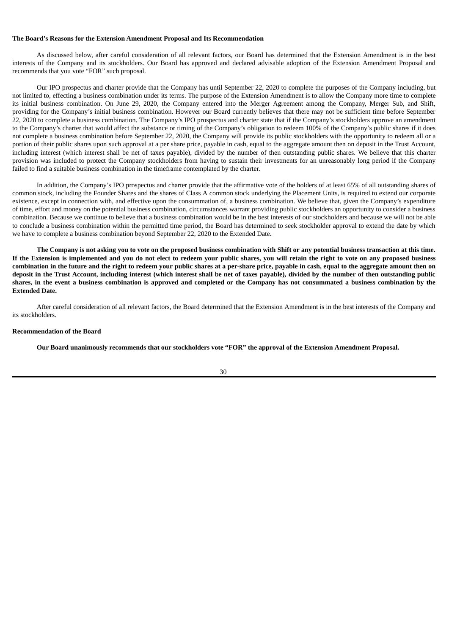#### **The Board's Reasons for the Extension Amendment Proposal and Its Recommendation**

As discussed below, after careful consideration of all relevant factors, our Board has determined that the Extension Amendment is in the best interests of the Company and its stockholders. Our Board has approved and declared advisable adoption of the Extension Amendment Proposal and recommends that you vote "FOR" such proposal.

Our IPO prospectus and charter provide that the Company has until September 22, 2020 to complete the purposes of the Company including, but not limited to, effecting a business combination under its terms. The purpose of the Extension Amendment is to allow the Company more time to complete its initial business combination. On June 29, 2020, the Company entered into the Merger Agreement among the Company, Merger Sub, and Shift, providing for the Company's initial business combination. However our Board currently believes that there may not be sufficient time before September 22, 2020 to complete a business combination. The Company's IPO prospectus and charter state that if the Company's stockholders approve an amendment to the Company's charter that would affect the substance or timing of the Company's obligation to redeem 100% of the Company's public shares if it does not complete a business combination before September 22, 2020, the Company will provide its public stockholders with the opportunity to redeem all or a portion of their public shares upon such approval at a per share price, payable in cash, equal to the aggregate amount then on deposit in the Trust Account, including interest (which interest shall be net of taxes payable), divided by the number of then outstanding public shares. We believe that this charter provision was included to protect the Company stockholders from having to sustain their investments for an unreasonably long period if the Company failed to find a suitable business combination in the timeframe contemplated by the charter.

In addition, the Company's IPO prospectus and charter provide that the affirmative vote of the holders of at least 65% of all outstanding shares of common stock, including the Founder Shares and the shares of Class A common stock underlying the Placement Units, is required to extend our corporate existence, except in connection with, and effective upon the consummation of, a business combination. We believe that, given the Company's expenditure of time, effort and money on the potential business combination, circumstances warrant providing public stockholders an opportunity to consider a business combination. Because we continue to believe that a business combination would be in the best interests of our stockholders and because we will not be able to conclude a business combination within the permitted time period, the Board has determined to seek stockholder approval to extend the date by which we have to complete a business combination beyond September 22, 2020 to the Extended Date.

The Company is not asking you to vote on the proposed business combination with Shift or any potential business transaction at this time. If the Extension is implemented and you do not elect to redeem your public shares, you will retain the right to vote on any proposed business combination in the future and the right to redeem your public shares at a per-share price, payable in cash, equal to the aggregate amount then on deposit in the Trust Account, including interest (which interest shall be net of taxes payable), divided by the number of then outstanding public shares, in the event a business combination is approved and completed or the Company has not consummated a business combination by the **Extended Date.**

After careful consideration of all relevant factors, the Board determined that the Extension Amendment is in the best interests of the Company and its stockholders.

#### **Recommendation of the Board**

Our Board unanimously recommends that our stockholders vote "FOR" the approval of the Extension Amendment Proposal.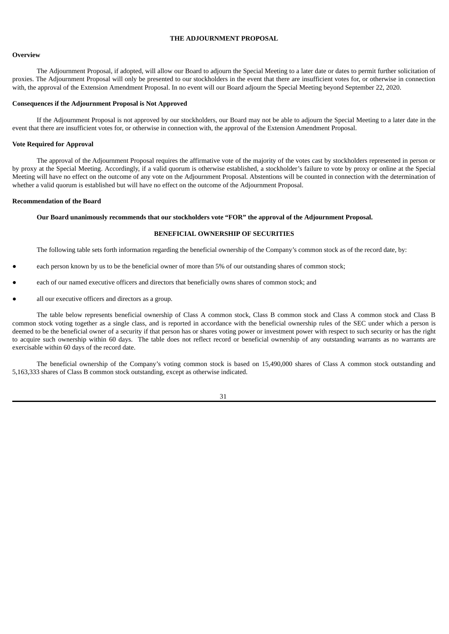## **THE ADJOURNMENT PROPOSAL**

## **Overview**

The Adjournment Proposal, if adopted, will allow our Board to adjourn the Special Meeting to a later date or dates to permit further solicitation of proxies. The Adjournment Proposal will only be presented to our stockholders in the event that there are insufficient votes for, or otherwise in connection with, the approval of the Extension Amendment Proposal. In no event will our Board adjourn the Special Meeting beyond September 22, 2020.

## **Consequences if the Adjournment Proposal is Not Approved**

If the Adjournment Proposal is not approved by our stockholders, our Board may not be able to adjourn the Special Meeting to a later date in the event that there are insufficient votes for, or otherwise in connection with, the approval of the Extension Amendment Proposal.

## **Vote Required for Approval**

The approval of the Adjournment Proposal requires the affirmative vote of the majority of the votes cast by stockholders represented in person or by proxy at the Special Meeting. Accordingly, if a valid quorum is otherwise established, a stockholder's failure to vote by proxy or online at the Special Meeting will have no effect on the outcome of any vote on the Adjournment Proposal. Abstentions will be counted in connection with the determination of whether a valid quorum is established but will have no effect on the outcome of the Adjournment Proposal.

#### **Recommendation of the Board**

#### **Our Board unanimously recommends that our stockholders vote "FOR" the approval of the Adjournment Proposal.**

## **BENEFICIAL OWNERSHIP OF SECURITIES**

The following table sets forth information regarding the beneficial ownership of the Company's common stock as of the record date, by:

- each person known by us to be the beneficial owner of more than 5% of our outstanding shares of common stock;
- each of our named executive officers and directors that beneficially owns shares of common stock; and
- all our executive officers and directors as a group.

The table below represents beneficial ownership of Class A common stock, Class B common stock and Class A common stock and Class B common stock voting together as a single class, and is reported in accordance with the beneficial ownership rules of the SEC under which a person is deemed to be the beneficial owner of a security if that person has or shares voting power or investment power with respect to such security or has the right to acquire such ownership within 60 days. The table does not reflect record or beneficial ownership of any outstanding warrants as no warrants are exercisable within 60 days of the record date.

The beneficial ownership of the Company's voting common stock is based on 15,490,000 shares of Class A common stock outstanding and 5,163,333 shares of Class B common stock outstanding, except as otherwise indicated.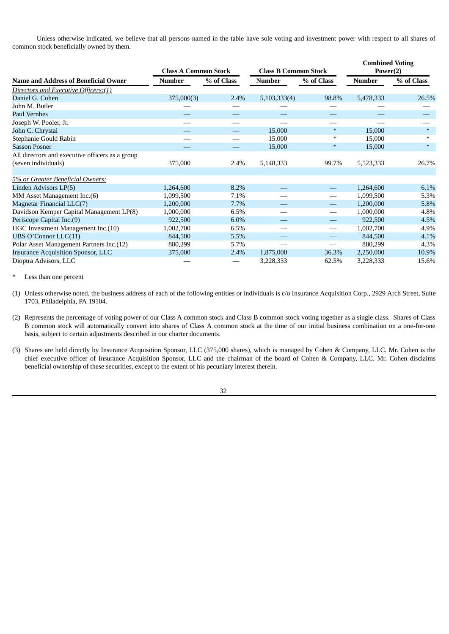Unless otherwise indicated, we believe that all persons named in the table have sole voting and investment power with respect to all shares of common stock beneficially owned by them.

|                                                 | <b>Class A Common Stock</b> |            | <b>Class B Common Stock</b> |                                 | <b>Combined Voting</b><br>Power(2) |            |
|-------------------------------------------------|-----------------------------|------------|-----------------------------|---------------------------------|------------------------------------|------------|
| <b>Name and Address of Beneficial Owner</b>     | Number                      | % of Class | <b>Number</b>               | % of Class                      | <b>Number</b>                      | % of Class |
| Directors and Executive Officers:(1)            |                             |            |                             |                                 |                                    |            |
| Daniel G. Cohen                                 | 375,000(3)                  | 2.4%       | 5,103,333(4)                | 98.8%                           | 5,478,333                          | 26.5%      |
| John M. Butler                                  |                             |            |                             |                                 |                                    |            |
| <b>Paul Vernhes</b>                             |                             |            |                             |                                 |                                    |            |
| Joseph W. Pooler, Jr.                           |                             |            |                             |                                 |                                    |            |
| John C. Chrystal                                |                             |            | 15,000                      | $\ast$                          | 15,000                             | $*$        |
| Stephanie Gould Rabin                           |                             |            | 15,000                      | $\ast$                          | 15,000                             | $\ast$     |
| <b>Sasson Posner</b>                            |                             |            | 15,000                      | $\ast$                          | 15,000                             | $\ast$     |
| All directors and executive officers as a group |                             |            |                             |                                 |                                    |            |
| (seven individuals)                             | 375,000                     | 2.4%       | 5,148,333                   | 99.7%                           | 5,523,333                          | 26.7%      |
|                                                 |                             |            |                             |                                 |                                    |            |
| 5% or Greater Beneficial Owners:                |                             |            |                             |                                 |                                    |            |
| Linden Advisors LP(5)                           | 1,264,600                   | 8.2%       |                             | $\hspace{0.1mm}-\hspace{0.1mm}$ | 1,264,600                          | 6.1%       |
| MM Asset Management Inc.(6)                     | 1,099,500                   | 7.1%       |                             | $\hspace{0.1mm}-\hspace{0.1mm}$ | 1,099,500                          | 5.3%       |
| Magnetar Financial LLC(7)                       | 1,200,000                   | 7.7%       |                             | $\hspace{0.1mm}-\hspace{0.1mm}$ | 1,200,000                          | 5.8%       |
| Davidson Kemper Capital Management LP(8)        | 1,000,000                   | 6.5%       |                             |                                 | 1,000,000                          | 4.8%       |
| Periscope Capital Inc.(9)                       | 922,500                     | 6.0%       |                             | $\qquad \qquad \longleftarrow$  | 922,500                            | 4.5%       |
| HGC Investment Management Inc.(10)              | 1,002,700                   | 6.5%       |                             |                                 | 1,002,700                          | 4.9%       |
| UBS O'Connor LLC(11)                            | 844,500                     | 5.5%       |                             |                                 | 844,500                            | 4.1%       |
| Polar Asset Management Partners Inc.(12)        | 880,299                     | 5.7%       |                             |                                 | 880,299                            | 4.3%       |
| <b>Insurance Acquisition Sponsor, LLC</b>       | 375,000                     | 2.4%       | 1,875,000                   | 36.3%                           | 2,250,000                          | 10.9%      |
| Dioptra Advisors, LLC                           |                             |            | 3,228,333                   | 62.5%                           | 3,228,333                          | 15.6%      |

Less than one percent

(1) Unless otherwise noted, the business address of each of the following entities or individuals is c/o Insurance Acquisition Corp., 2929 Arch Street, Suite 1703, Philadelphia, PA 19104.

(2) Represents the percentage of voting power of our Class A common stock and Class B common stock voting together as a single class. Shares of Class B common stock will automatically convert into shares of Class A common stock at the time of our initial business combination on a one-for-one basis, subject to certain adjustments described in our charter documents.

(3) Shares are held directly by Insurance Acquisition Sponsor, LLC (375,000 shares), which is managed by Cohen & Company, LLC. Mr. Cohen is the chief executive officer of Insurance Acquisition Sponsor, LLC and the chairman of the board of Cohen & Company, LLC. Mr. Cohen disclaims beneficial ownership of these securities, except to the extent of his pecuniary interest therein.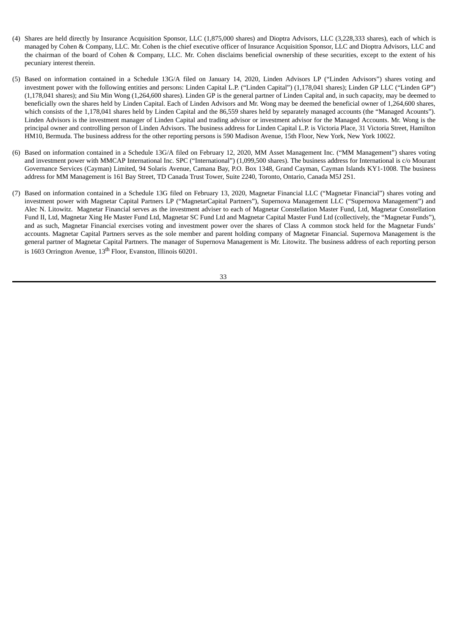- (4) Shares are held directly by Insurance Acquisition Sponsor, LLC (1,875,000 shares) and Dioptra Advisors, LLC (3,228,333 shares), each of which is managed by Cohen & Company, LLC. Mr. Cohen is the chief executive officer of Insurance Acquisition Sponsor, LLC and Dioptra Advisors, LLC and the chairman of the board of Cohen & Company, LLC. Mr. Cohen disclaims beneficial ownership of these securities, except to the extent of his pecuniary interest therein.
- (5) Based on information contained in a Schedule 13G/A filed on January 14, 2020, Linden Advisors LP ("Linden Advisors") shares voting and investment power with the following entities and persons: Linden Capital L.P. ("Linden Capital") (1,178,041 shares); Linden GP LLC ("Linden GP") (1,178,041 shares); and Siu Min Wong (1,264,600 shares). Linden GP is the general partner of Linden Capital and, in such capacity, may be deemed to beneficially own the shares held by Linden Capital. Each of Linden Advisors and Mr. Wong may be deemed the beneficial owner of 1,264,600 shares, which consists of the 1,178,041 shares held by Linden Capital and the 86,559 shares held by separately managed accounts (the "Managed Acounts"). Linden Advisors is the investment manager of Linden Capital and trading advisor or investment advisor for the Managed Accounts. Mr. Wong is the principal owner and controlling person of Linden Advisors. The business address for Linden Capital L.P. is Victoria Place, 31 Victoria Street, Hamilton HM10, Bermuda. The business address for the other reporting persons is 590 Madison Avenue, 15th Floor, New York, New York 10022.
- (6) Based on information contained in a Schedule 13G/A filed on February 12, 2020, MM Asset Management Inc. ("MM Management") shares voting and investment power with MMCAP International Inc. SPC ("International") (1,099,500 shares). The business address for International is c/o Mourant Governance Services (Cayman) Limited, 94 Solaris Avenue, Camana Bay, P.O. Box 1348, Grand Cayman, Cayman Islands KY1-1008. The business address for MM Management is 161 Bay Street, TD Canada Trust Tower, Suite 2240, Toronto, Ontario, Canada M5J 2S1.
- (7) Based on information contained in a Schedule 13G filed on February 13, 2020, Magnetar Financial LLC ("Magnetar Financial") shares voting and investment power with Magnetar Capital Partners LP ("MagnetarCapital Partners"), Supernova Management LLC ("Supernova Management") and Alec N. Litowitz. Magnetar Financial serves as the investment adviser to each of Magnetar Constellation Master Fund, Ltd, Magnetar Constellation Fund II, Ltd, Magnetar Xing He Master Fund Ltd, Magnetar SC Fund Ltd and Magnetar Capital Master Fund Ltd (collectively, the "Magnetar Funds"), and as such, Magnetar Financial exercises voting and investment power over the shares of Class A common stock held for the Magnetar Funds' accounts. Magnetar Capital Partners serves as the sole member and parent holding company of Magnetar Financial. Supernova Management is the general partner of Magnetar Capital Partners. The manager of Supernova Management is Mr. Litowitz. The business address of each reporting person is 1603 Orrington Avenue, 13<sup>th</sup> Floor, Evanston, Illinois 60201.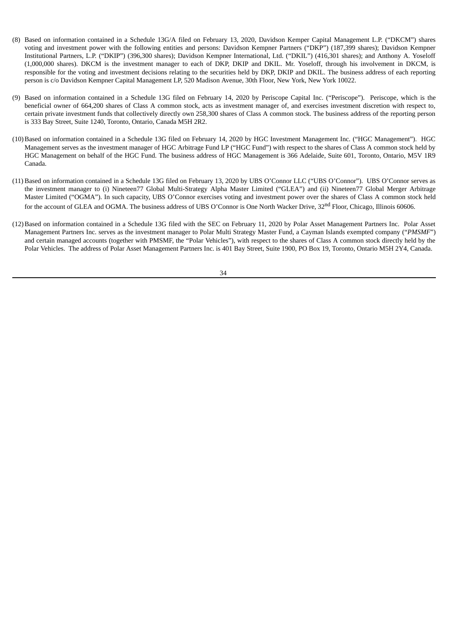- (8) Based on information contained in a Schedule 13G/A filed on February 13, 2020, Davidson Kemper Capital Management L.P. ("DKCM") shares voting and investment power with the following entities and persons: Davidson Kempner Partners ("DKP") (187,399 shares); Davidson Kempner Institutional Partners, L.P. ("DKIP") (396,300 shares); Davidson Kempner International, Ltd. ("DKIL") (416,301 shares); and Anthony A. Yoseloff (1,000,000 shares). DKCM is the investment manager to each of DKP, DKIP and DKIL. Mr. Yoseloff, through his involvement in DKCM, is responsible for the voting and investment decisions relating to the securities held by DKP, DKIP and DKIL. The business address of each reporting person is c/o Davidson Kempner Capital Management LP, 520 Madison Avenue, 30th Floor, New York, New York 10022.
- (9) Based on information contained in a Schedule 13G filed on February 14, 2020 by Periscope Capital Inc. ("Periscope"). Periscope, which is the beneficial owner of 664,200 shares of Class A common stock, acts as investment manager of, and exercises investment discretion with respect to, certain private investment funds that collectively directly own 258,300 shares of Class A common stock. The business address of the reporting person is 333 Bay Street, Suite 1240, Toronto, Ontario, Canada M5H 2R2.
- (10)Based on information contained in a Schedule 13G filed on February 14, 2020 by HGC Investment Management Inc. ("HGC Management"). HGC Management serves as the investment manager of HGC Arbitrage Fund LP ("HGC Fund") with respect to the shares of Class A common stock held by HGC Management on behalf of the HGC Fund. The business address of HGC Management is 366 Adelaide, Suite 601, Toronto, Ontario, M5V 1R9 Canada.
- (11) Based on information contained in a Schedule 13G filed on February 13, 2020 by UBS O'Connor LLC ("UBS O'Connor"). UBS O'Connor serves as the investment manager to (i) Nineteen77 Global Multi-Strategy Alpha Master Limited ("GLEA") and (ii) Nineteen77 Global Merger Arbitrage Master Limited ("OGMA"). In such capacity, UBS O'Connor exercises voting and investment power over the shares of Class A common stock held for the account of GLEA and OGMA. The business address of UBS O'Connor is One North Wacker Drive, 32<sup>nd</sup> Floor, Chicago, Illinois 60606.
- (12)Based on information contained in a Schedule 13G filed with the SEC on February 11, 2020 by Polar Asset Management Partners Inc. Polar Asset Management Partners Inc. serves as the investment manager to Polar Multi Strategy Master Fund, a Cayman Islands exempted company ("*PMSMF*") and certain managed accounts (together with PMSMF, the "Polar Vehicles"), with respect to the shares of Class A common stock directly held by the Polar Vehicles. The address of Polar Asset Management Partners Inc. is 401 Bay Street, Suite 1900, PO Box 19, Toronto, Ontario M5H 2Y4, Canada.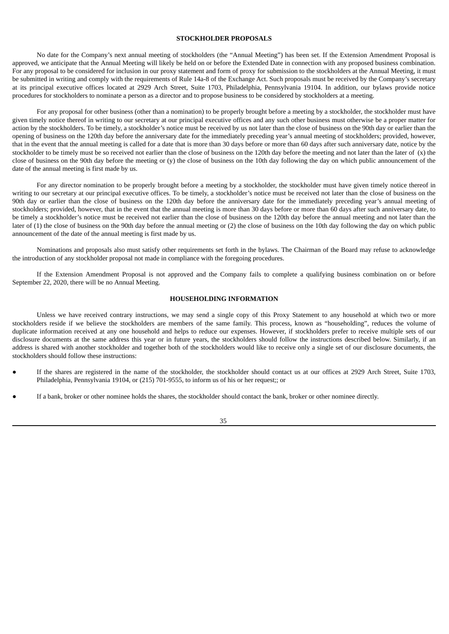## **STOCKHOLDER PROPOSALS**

No date for the Company's next annual meeting of stockholders (the "Annual Meeting") has been set. If the Extension Amendment Proposal is approved, we anticipate that the Annual Meeting will likely be held on or before the Extended Date in connection with any proposed business combination. For any proposal to be considered for inclusion in our proxy statement and form of proxy for submission to the stockholders at the Annual Meeting, it must be submitted in writing and comply with the requirements of Rule 14a-8 of the Exchange Act. Such proposals must be received by the Company's secretary at its principal executive offices located at 2929 Arch Street, Suite 1703, Philadelphia, Pennsylvania 19104. In addition, our bylaws provide notice procedures for stockholders to nominate a person as a director and to propose business to be considered by stockholders at a meeting.

For any proposal for other business (other than a nomination) to be properly brought before a meeting by a stockholder, the stockholder must have given timely notice thereof in writing to our secretary at our principal executive offices and any such other business must otherwise be a proper matter for action by the stockholders. To be timely, a stockholder's notice must be received by us not later than the close of business on the 90th day or earlier than the opening of business on the 120th day before the anniversary date for the immediately preceding year's annual meeting of stockholders; provided, however, that in the event that the annual meeting is called for a date that is more than 30 days before or more than 60 days after such anniversary date, notice by the stockholder to be timely must be so received not earlier than the close of business on the 120th day before the meeting and not later than the later of  $(x)$  the close of business on the 90th day before the meeting or (y) the close of business on the 10th day following the day on which public announcement of the date of the annual meeting is first made by us.

For any director nomination to be properly brought before a meeting by a stockholder, the stockholder must have given timely notice thereof in writing to our secretary at our principal executive offices. To be timely, a stockholder's notice must be received not later than the close of business on the 90th day or earlier than the close of business on the 120th day before the anniversary date for the immediately preceding year's annual meeting of stockholders; provided, however, that in the event that the annual meeting is more than 30 days before or more than 60 days after such anniversary date, to be timely a stockholder's notice must be received not earlier than the close of business on the 120th day before the annual meeting and not later than the later of (1) the close of business on the 90th day before the annual meeting or (2) the close of business on the 10th day following the day on which public announcement of the date of the annual meeting is first made by us.

Nominations and proposals also must satisfy other requirements set forth in the bylaws. The Chairman of the Board may refuse to acknowledge the introduction of any stockholder proposal not made in compliance with the foregoing procedures.

If the Extension Amendment Proposal is not approved and the Company fails to complete a qualifying business combination on or before September 22, 2020, there will be no Annual Meeting.

#### **HOUSEHOLDING INFORMATION**

Unless we have received contrary instructions, we may send a single copy of this Proxy Statement to any household at which two or more stockholders reside if we believe the stockholders are members of the same family. This process, known as "householding", reduces the volume of duplicate information received at any one household and helps to reduce our expenses. However, if stockholders prefer to receive multiple sets of our disclosure documents at the same address this year or in future years, the stockholders should follow the instructions described below. Similarly, if an address is shared with another stockholder and together both of the stockholders would like to receive only a single set of our disclosure documents, the stockholders should follow these instructions:

- If the shares are registered in the name of the stockholder, the stockholder should contact us at our offices at 2929 Arch Street, Suite 1703, Philadelphia, Pennsylvania 19104, or (215) 701-9555, to inform us of his or her request;; or
- If a bank, broker or other nominee holds the shares, the stockholder should contact the bank, broker or other nominee directly.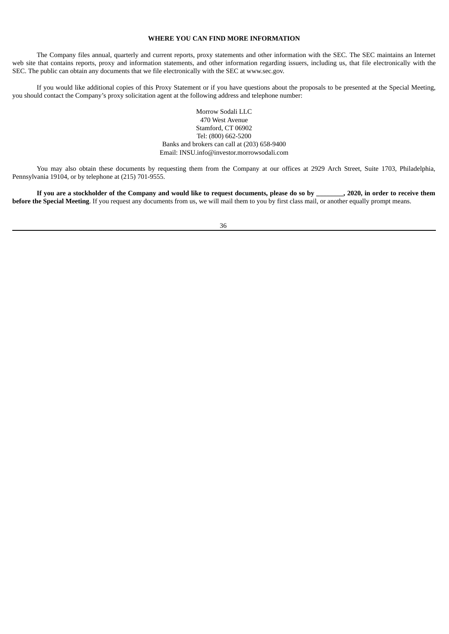## **WHERE YOU CAN FIND MORE INFORMATION**

The Company files annual, quarterly and current reports, proxy statements and other information with the SEC. The SEC maintains an Internet web site that contains reports, proxy and information statements, and other information regarding issuers, including us, that file electronically with the SEC. The public can obtain any documents that we file electronically with the SEC at www.sec.gov.

If you would like additional copies of this Proxy Statement or if you have questions about the proposals to be presented at the Special Meeting, you should contact the Company's proxy solicitation agent at the following address and telephone number:

> Morrow Sodali LLC 470 West Avenue Stamford, CT 06902 Tel: (800) 662-5200 Banks and brokers can call at (203) 658-9400 Email: INSU.info@investor.morrowsodali.com

You may also obtain these documents by requesting them from the Company at our offices at 2929 Arch Street, Suite 1703, Philadelphia, Pennsylvania 19104, or by telephone at (215) 701-9555.

If you are a stockholder of the Company and would like to request documents, please do so by \_\_\_\_\_\_\_, 2020, in order to receive them **before the Special Meeting**. If you request any documents from us, we will mail them to you by first class mail, or another equally prompt means.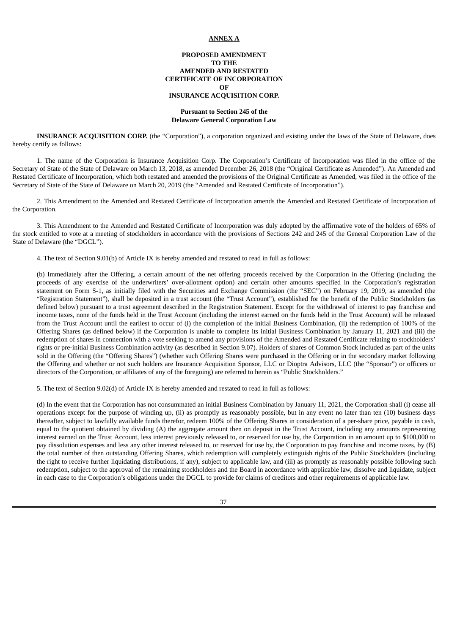## **ANNEX A**

## **PROPOSED AMENDMENT TO THE AMENDED AND RESTATED CERTIFICATE OF INCORPORATION OF INSURANCE ACQUISITION CORP.**

#### **Pursuant to Section 245 of the Delaware General Corporation Law**

**INSURANCE ACQUISITION CORP.** (the "Corporation"), a corporation organized and existing under the laws of the State of Delaware, does hereby certify as follows:

1. The name of the Corporation is Insurance Acquisition Corp. The Corporation's Certificate of Incorporation was filed in the office of the Secretary of State of the State of Delaware on March 13, 2018, as amended December 26, 2018 (the "Original Certificate as Amended"). An Amended and Restated Certificate of Incorporation, which both restated and amended the provisions of the Original Certificate as Amended, was filed in the office of the Secretary of State of the State of Delaware on March 20, 2019 (the "Amended and Restated Certificate of Incorporation").

2. This Amendment to the Amended and Restated Certificate of Incorporation amends the Amended and Restated Certificate of Incorporation of the Corporation.

3. This Amendment to the Amended and Restated Certificate of Incorporation was duly adopted by the affirmative vote of the holders of 65% of the stock entitled to vote at a meeting of stockholders in accordance with the provisions of Sections 242 and 245 of the General Corporation Law of the State of Delaware (the "DGCL").

4. The text of Section 9.01(b) of Article IX is hereby amended and restated to read in full as follows:

(b) Immediately after the Offering, a certain amount of the net offering proceeds received by the Corporation in the Offering (including the proceeds of any exercise of the underwriters' over-allotment option) and certain other amounts specified in the Corporation's registration statement on Form S-1, as initially filed with the Securities and Exchange Commission (the "SEC") on February 19, 2019, as amended (the "Registration Statement"), shall be deposited in a trust account (the "Trust Account"), established for the benefit of the Public Stockholders (as defined below) pursuant to a trust agreement described in the Registration Statement. Except for the withdrawal of interest to pay franchise and income taxes, none of the funds held in the Trust Account (including the interest earned on the funds held in the Trust Account) will be released from the Trust Account until the earliest to occur of (i) the completion of the initial Business Combination, (ii) the redemption of 100% of the Offering Shares (as defined below) if the Corporation is unable to complete its initial Business Combination by January 11, 2021 and (iii) the redemption of shares in connection with a vote seeking to amend any provisions of the Amended and Restated Certificate relating to stockholders' rights or pre-initial Business Combination activity (as described in Section 9.07). Holders of shares of Common Stock included as part of the units sold in the Offering (the "Offering Shares") (whether such Offering Shares were purchased in the Offering or in the secondary market following the Offering and whether or not such holders are Insurance Acquisition Sponsor, LLC or Dioptra Advisors, LLC (the "Sponsor") or officers or directors of the Corporation, or affiliates of any of the foregoing) are referred to herein as "Public Stockholders."

5. The text of Section 9.02(d) of Article IX is hereby amended and restated to read in full as follows:

(d) In the event that the Corporation has not consummated an initial Business Combination by January 11, 2021, the Corporation shall (i) cease all operations except for the purpose of winding up, (ii) as promptly as reasonably possible, but in any event no later than ten (10) business days thereafter, subject to lawfully available funds therefor, redeem 100% of the Offering Shares in consideration of a per-share price, payable in cash, equal to the quotient obtained by dividing (A) the aggregate amount then on deposit in the Trust Account, including any amounts representing interest earned on the Trust Account, less interest previously released to, or reserved for use by, the Corporation in an amount up to \$100,000 to pay dissolution expenses and less any other interest released to, or reserved for use by, the Corporation to pay franchise and income taxes, by (B) the total number of then outstanding Offering Shares, which redemption will completely extinguish rights of the Public Stockholders (including the right to receive further liquidating distributions, if any), subject to applicable law, and (iii) as promptly as reasonably possible following such redemption, subject to the approval of the remaining stockholders and the Board in accordance with applicable law, dissolve and liquidate, subject in each case to the Corporation's obligations under the DGCL to provide for claims of creditors and other requirements of applicable law.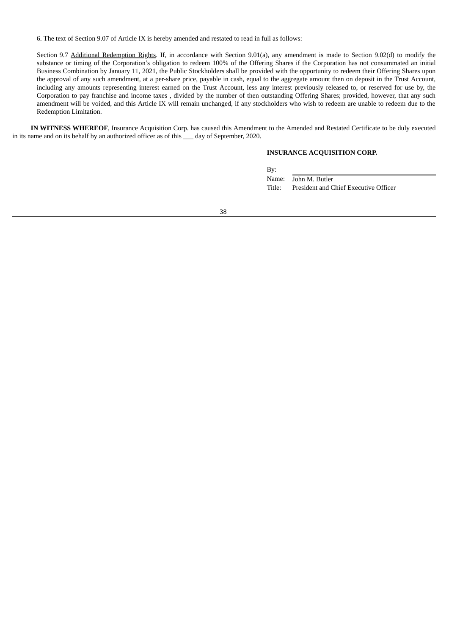6. The text of Section 9.07 of Article IX is hereby amended and restated to read in full as follows:

Section 9.7 Additional Redemption Rights. If, in accordance with Section 9.01(a), any amendment is made to Section 9.02(d) to modify the substance or timing of the Corporation's obligation to redeem 100% of the Offering Shares if the Corporation has not consummated an initial Business Combination by January 11, 2021, the Public Stockholders shall be provided with the opportunity to redeem their Offering Shares upon the approval of any such amendment, at a per-share price, payable in cash, equal to the aggregate amount then on deposit in the Trust Account, including any amounts representing interest earned on the Trust Account, less any interest previously released to, or reserved for use by, the Corporation to pay franchise and income taxes , divided by the number of then outstanding Offering Shares; provided, however, that any such amendment will be voided, and this Article IX will remain unchanged, if any stockholders who wish to redeem are unable to redeem due to the Redemption Limitation.

**IN WITNESS WHEREOF**, Insurance Acquisition Corp. has caused this Amendment to the Amended and Restated Certificate to be duly executed in its name and on its behalf by an authorized officer as of this \_\_\_ day of September, 2020.

## **INSURANCE ACQUISITION CORP.**

By:

Name: John M. Butler Title: President and Chief Executive Officer